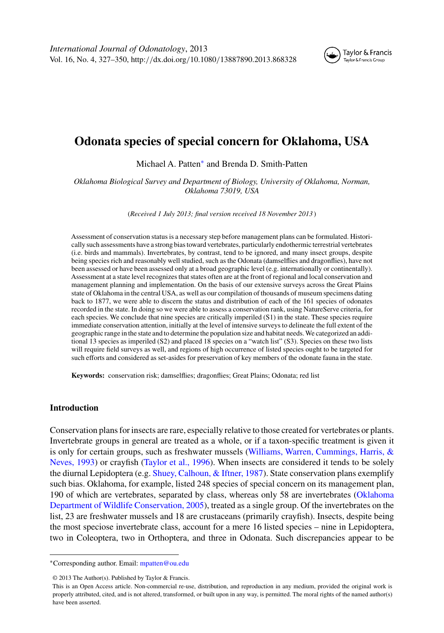

# **Odonata species of special concern for Oklahoma, USA**

Michael A. Patten<sup>∗</sup> and Brenda D. Smith-Patten

*Oklahoma Biological Survey and Department of Biology, University of Oklahoma, Norman, Oklahoma 73019, USA*

(*Received 1 July 2013; final version received 18 November 2013* )

Assessment of conservation status is a necessary step before management plans can be formulated. Historically such assessments have a strong bias toward vertebrates, particularly endothermic terrestrial vertebrates (i.e. birds and mammals). Invertebrates, by contrast, tend to be ignored, and many insect groups, despite being species rich and reasonably well studied, such as the Odonata (damselflies and dragonflies), have not been assessed or have been assessed only at a broad geographic level (e.g. internationally or continentally). Assessment at a state level recognizes that states often are at the front of regional and local conservation and management planning and implementation. On the basis of our extensive surveys across the Great Plains state of Oklahoma in the central USA, as well as our compilation of thousands of museum specimens dating back to 1877, we were able to discern the status and distribution of each of the 161 species of odonates recorded in the state. In doing so we were able to assess a conservation rank, using NatureServe criteria, for each species. We conclude that nine species are critically imperiled (S1) in the state. These species require immediate conservation attention, initially at the level of intensive surveys to delineate the full extent of the geographic range in the state and to determine the population size and habitat needs. We categorized an additional 13 species as imperiled (S2) and placed 18 species on a "watch list" (S3). Species on these two lists will require field surveys as well, and regions of high occurrence of listed species ought to be targeted for such efforts and considered as set-asides for preservation of key members of the odonate fauna in the state.

**Keywords:** conservation risk; damselflies; dragonflies; Great Plains; Odonata; red list

# **Introduction**

Conservation plans for insects are rare, especially relative to those created for vertebrates or plants. Invertebrate groups in general are treated as a whole, or if a taxon-specific treatment is given it is only for certain groups, such as freshwater mussels [\(Williams, Warren, Cummings, Harris, &](#page-23-0) [Neves, 1993\)](#page-23-0) or crayfish [\(Taylor et al., 1996\)](#page-23-0). When insects are considered it tends to be solely the diurnal Lepidoptera (e.g. [Shuey, Calhoun, & Iftner, 1987\)](#page-22-0). State conservation plans exemplify such bias. Oklahoma, for example, listed 248 species of special concern on its management plan, 190 of which are vertebrates, separated by class, whereas only 58 are invertebrates [\(Oklahoma](#page-22-0) [Department of Wildlife Conservation, 2005\)](#page-22-0), treated as a single group. Of the invertebrates on the list, 23 are freshwater mussels and 18 are crustaceans (primarily crayfish). Insects, despite being the most speciose invertebrate class, account for a mere 16 listed species – nine in Lepidoptera, two in Coleoptera, two in Orthoptera, and three in Odonata. Such discrepancies appear to be

<sup>∗</sup>Corresponding author. Email: [mpatten@ou.edu](mailto:mpatten@ou.edu)

<sup>© 2013</sup> The Author(s). Published by Taylor & Francis.

This is an Open Access article. Non-commercial re-use, distribution, and reproduction in any medium, provided the original work is properly attributed, cited, and is not altered, transformed, or built upon in any way, is permitted. The moral rights of the named author(s) have been asserted.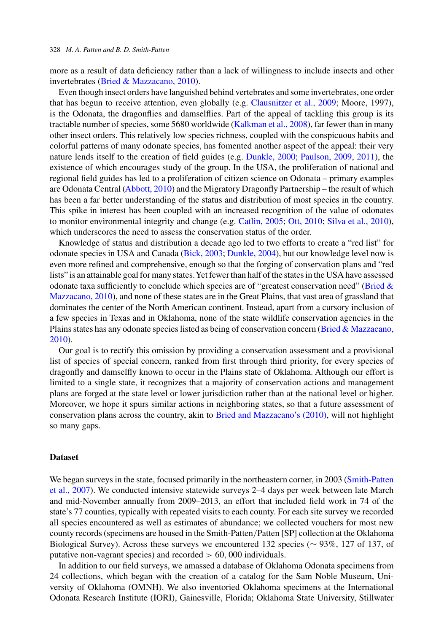more as a result of data deficiency rather than a lack of willingness to include insects and other invertebrates [\(Bried & Mazzacano, 2010\)](#page-21-0).

Even though insect orders have languished behind vertebrates and some invertebrates, one order that has begun to receive attention, even globally (e.g. [Clausnitzer et al., 2009;](#page-22-0) Moore, 1997), is the Odonata, the dragonflies and damselflies. Part of the appeal of tackling this group is its tractable number of species, some 5680 worldwide [\(Kalkman et al., 2008\)](#page-22-0), far fewer than in many other insect orders. This relatively low species richness, coupled with the conspicuous habits and colorful patterns of many odonate species, has fomented another aspect of the appeal: their very nature lends itself to the creation of field guides (e.g. [Dunkle, 2000;](#page-22-0) [Paulson, 2009,](#page-22-0) [2011\)](#page-22-0), the existence of which encourages study of the group. In the USA, the proliferation of national and regional field guides has led to a proliferation of citizen science on Odonata – primary examples are Odonata Central [\(Abbott, 2010\)](#page-21-0) and the Migratory Dragonfly Partnership – the result of which has been a far better understanding of the status and distribution of most species in the country. This spike in interest has been coupled with an increased recognition of the value of odonates to monitor environmental integrity and change (e.g. [Catlin, 2005;](#page-22-0) [Ott, 2010;](#page-22-0) [Silva et al., 2010\)](#page-22-0), which underscores the need to assess the conservation status of the order.

Knowledge of status and distribution a decade ago led to two efforts to create a "red list" for odonate species in USA and Canada [\(Bick, 2003;](#page-21-0) [Dunkle, 2004\)](#page-22-0), but our knowledge level now is even more refined and comprehensive, enough so that the forging of conservation plans and "red lists" is an attainable goal for many states.Yet fewer than half of the states in the USA have assessed odonate taxa sufficiently to conclude which species are of "greatest conservation need" [\(Bried &](#page-21-0) [Mazzacano, 2010\)](#page-21-0), and none of these states are in the Great Plains, that vast area of grassland that dominates the center of the North American continent. Instead, apart from a cursory inclusion of a few species in Texas and in Oklahoma, none of the state wildlife conservation agencies in the Plains states has any odonate species listed as being of conservation concern [\(Bried & Mazzacano,](#page-21-0) [2010\)](#page-21-0).

Our goal is to rectify this omission by providing a conservation assessment and a provisional list of species of special concern, ranked from first through third priority, for every species of dragonfly and damselfly known to occur in the Plains state of Oklahoma. Although our effort is limited to a single state, it recognizes that a majority of conservation actions and management plans are forged at the state level or lower jurisdiction rather than at the national level or higher. Moreover, we hope it spurs similar actions in neighboring states, so that a future assessment of conservation plans across the country, akin to [Bried and Mazzacano's \(2010\),](#page-21-0) will not highlight so many gaps.

### **Dataset**

We began surveys in the state, focused primarily in the northeastern corner, in 2003 [\(Smith-Patten](#page-22-0) [et al., 2007\)](#page-22-0). We conducted intensive statewide surveys 2–4 days per week between late March and mid-November annually from 2009–2013, an effort that included field work in 74 of the state's 77 counties, typically with repeated visits to each county. For each site survey we recorded all species encountered as well as estimates of abundance; we collected vouchers for most new county records (specimens are housed in the Smith-Patten*/*Patten [SP] collection at the Oklahoma Biological Survey). Across these surveys we encountered 132 species (∼ 93%, 127 of 137, of putative non-vagrant species) and recorded *>* 60*,* 000 individuals.

In addition to our field surveys, we amassed a database of Oklahoma Odonata specimens from 24 collections, which began with the creation of a catalog for the Sam Noble Museum, University of Oklahoma (OMNH). We also inventoried Oklahoma specimens at the International Odonata Research Institute (IORI), Gainesville, Florida; Oklahoma State University, Stillwater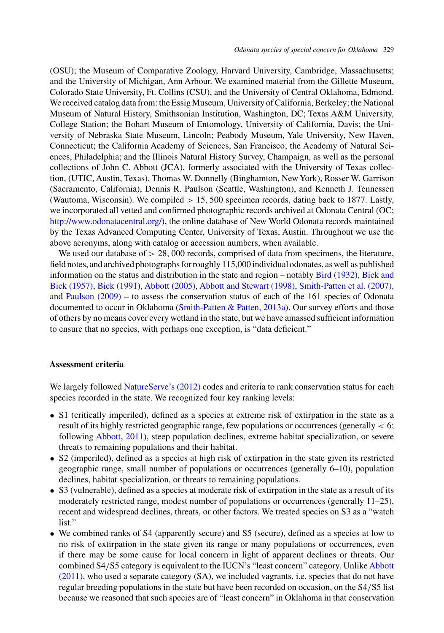(OSU); the Museum of Comparative Zoology, Harvard University, Cambridge, Massachusetts; and the University of Michigan, Ann Arbour. We examined material from the Gillette Museum, Colorado State University, Ft. Collins (CSU), and the University of Central Oklahoma, Edmond. We received catalog data from: the Essig Museum, University of California, Berkeley; the National Museum of Natural History, Smithsonian Institution, Washington, DC; Texas A&M University, College Station; the Bohart Museum of Entomology, University of California, Davis; the University of Nebraska State Museum, Lincoln; Peabody Museum, Yale University, New Haven, Connecticut; the California Academy of Sciences, San Francisco; the Academy of Natural Sciences, Philadelphia; and the Illinois Natural History Survey, Champaign, as well as the personal collections of John C. Abbott (JCA), formerly associated with the University of Texas collection, (UTIC, Austin, Texas), Thomas W. Donnelly (Binghamton, New York), Rosser W. Garrison (Sacramento, California), Dennis R. Paulson (Seattle, Washington), and Kenneth J. Tennessen (Wautoma, Wisconsin). We compiled *>* 15*,* 500 specimen records, dating back to 1877. Lastly, we incorporated all vetted and confirmed photographic records archived at Odonata Central (OC; [http://www.odonatacentral.org/\)](http://www.odonatacentral.org/), the online database of New World Odonata records maintained by the Texas Advanced Computing Center, University of Texas, Austin. Throughout we use the above acronyms, along with catalog or accession numbers, when available.

We used our database of  $> 28,000$  records, comprised of data from specimens, the literature, field notes, and archived photographs for roughly 115,000 individual odonates, as well as published information on the status and distribution in the state and region – notably [Bird \(1932\),](#page-21-0) [Bick and](#page-21-0) [Bick \(1957\),](#page-21-0) [Bick \(1991\),](#page-21-0) [Abbott \(2005\),](#page-21-0) [Abbott and Stewart \(1998\),](#page-21-0) [Smith-Patten et al. \(2007\),](#page-22-0) and [Paulson \(2009\)](#page-22-0) – to assess the conservation status of each of the 161 species of Odonata documented to occur in Oklahoma [\(Smith-Patten & Patten, 2013a\)](#page-22-0). Our survey efforts and those of others by no means cover every wetland in the state, but we have amassed sufficient information to ensure that no species, with perhaps one exception, is "data deficient."

### **Assessment criteria**

We largely followed [NatureServe's \(2012\)](#page-22-0) codes and criteria to rank conservation status for each species recorded in the state. We recognized four key ranking levels:

- S1 (critically imperiled), defined as a species at extreme risk of extirpation in the state as a result of its highly restricted geographic range, few populations or occurrences (generally *<* 6; following [Abbott, 2011\)](#page-21-0), steep population declines, extreme habitat specialization, or severe threats to remaining populations and their habitat.
- S2 (imperiled), defined as a species at high risk of extirpation in the state given its restricted geographic range, small number of populations or occurrences (generally 6–10), population declines, habitat specialization, or threats to remaining populations.
- S3 (vulnerable), defined as a species at moderate risk of extirpation in the state as a result of its moderately restricted range, modest number of populations or occurrences (generally 11–25), recent and widespread declines, threats, or other factors. We treated species on S3 as a "watch list."
- We combined ranks of S4 (apparently secure) and S5 (secure), defined as a species at low to no risk of extirpation in the state given its range or many populations or occurrences, even if there may be some cause for local concern in light of apparent declines or threats. Our combined S4*/*[S5](#page-21-0) [category](#page-21-0) [is](#page-21-0) [equivalent](#page-21-0) [to](#page-21-0) [the](#page-21-0) [IUCN's](#page-21-0) ["least](#page-21-0) [concern"](#page-21-0) [category.](#page-21-0) [Unlike](#page-21-0) Abbott (2011), who used a separate category (SA), we included vagrants, i.e. species that do not have regular breeding populations in the state but have been recorded on occasion, on the S4*/*S5 list because we reasoned that such species are of "least concern" in Oklahoma in that conservation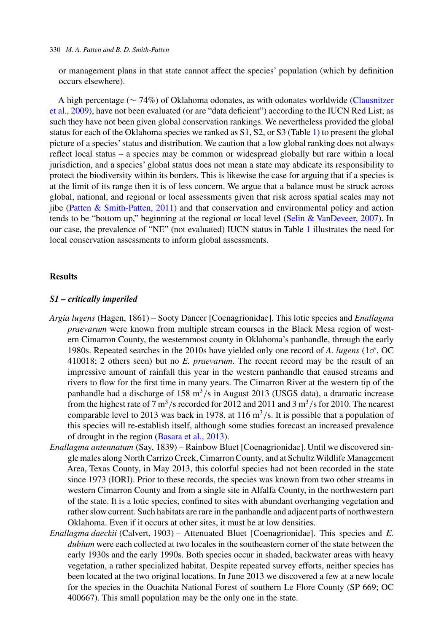or management plans in that state cannot affect the species' population (which by definition occurs elsewhere).

A high percentage (∼ 74%) of Oklahoma odonates, as with odonates worldwide [\(Clausnitzer](#page-22-0) [et al., 2009\)](#page-22-0), have not been evaluated (or are "data deficient") according to the IUCN Red List; as such they have not been given global conservation rankings. We nevertheless provided the global status for each of the Oklahoma species we ranked as S1, S2, or S3 (Table [1\)](#page-4-0) to present the global picture of a species' status and distribution. We caution that a low global ranking does not always reflect local status – a species may be common or widespread globally but rare within a local jurisdiction, and a species' global status does not mean a state may abdicate its responsibility to protect the biodiversity within its borders. This is likewise the case for arguing that if a species is at the limit of its range then it is of less concern. We argue that a balance must be struck across global, national, and regional or local assessments given that risk across spatial scales may not jibe [\(Patten & Smith-Patten, 2011\)](#page-22-0) and that conservation and environmental policy and action tends to be "bottom up," beginning at the regional or local level [\(Selin & VanDeveer, 2007\)](#page-22-0). In our case, the prevalence of "NE" (not evaluated) IUCN status in Table [1](#page-4-0) illustrates the need for local conservation assessments to inform global assessments.

### **Results**

### *S1 – critically imperiled*

- *Argia lugens* (Hagen, 1861) Sooty Dancer [Coenagrionidae]. This lotic species and *Enallagma praevarum* were known from multiple stream courses in the Black Mesa region of western Cimarron County, the westernmost county in Oklahoma's panhandle, through the early 1980s. Repeated searches in the 2010s have yielded only one record of A. *lugens* ( $1\sigma$ , OC) 410018; 2 others seen) but no *E. praevarum*. The recent record may be the result of an impressive amount of rainfall this year in the western panhandle that caused streams and rivers to flow for the first time in many years. The Cimarron River at the western tip of the panhandle had a discharge of 158 m<sup>3</sup>/s in August 2013 (USGS data), a dramatic increase from the highest rate of 7  $\text{m}^3$ /s recorded for 2012 and 2011 and 3  $\text{m}^3$ /s for 2010. The nearest comparable level to 2013 was back in 1978, at 116  $\text{m}^3$ /s. It is possible that a population of this species will re-establish itself, although some studies forecast an increased prevalence of drought in the region [\(Basara et al., 2013\)](#page-21-0).
- *Enallagma antennatum* (Say, 1839) Rainbow Bluet [Coenagrionidae]. Until we discovered single males along North Carrizo Creek, Cimarron County, and at Schultz Wildlife Management Area, Texas County, in May 2013, this colorful species had not been recorded in the state since 1973 (IORI). Prior to these records, the species was known from two other streams in western Cimarron County and from a single site in Alfalfa County, in the northwestern part of the state. It is a lotic species, confined to sites with abundant overhanging vegetation and rather slow current. Such habitats are rare in the panhandle and adjacent parts of northwestern Oklahoma. Even if it occurs at other sites, it must be at low densities.
- *Enallagma daeckii* (Calvert, 1903) Attenuated Bluet [Coenagrionidae]. This species and *E. dubium* were each collected at two locales in the southeastern corner of the state between the early 1930s and the early 1990s. Both species occur in shaded, backwater areas with heavy vegetation, a rather specialized habitat. Despite repeated survey efforts, neither species has been located at the two original locations. In June 2013 we discovered a few at a new locale for the species in the Ouachita National Forest of southern Le Flore County (SP 669; OC 400667). This small population may be the only one in the state.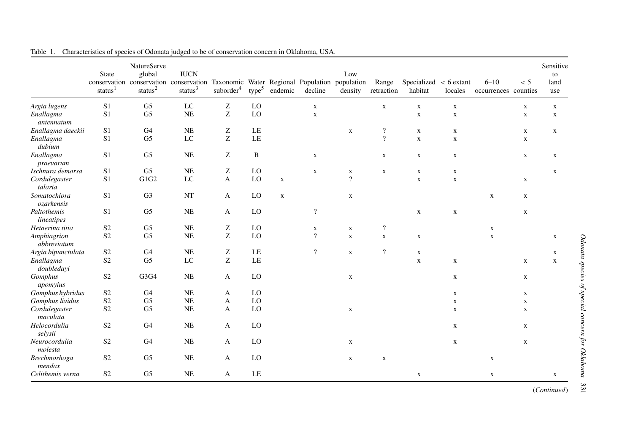|                               | <b>State</b><br>status $1$ | NatureServe<br>global<br>status $2$ | <b>IUCN</b><br>conservation conservation conservation Taxonomic Water Regional Population population<br>status $3$ | suborder <sup>4</sup>                                 | type <sup>5</sup> | endemic     | decline                  | Low<br>density | Range<br>retraction      | Specialized $\lt$ 6 extant<br>habitat | locales     | $6 - 10$<br>occurrences counties | < 5         | Sensitive<br>to<br>land<br>use |
|-------------------------------|----------------------------|-------------------------------------|--------------------------------------------------------------------------------------------------------------------|-------------------------------------------------------|-------------------|-------------|--------------------------|----------------|--------------------------|---------------------------------------|-------------|----------------------------------|-------------|--------------------------------|
| Argia lugens                  | S <sub>1</sub>             | G <sub>5</sub>                      | $_{\rm LC}$                                                                                                        | ${\bf Z}$                                             | LO                |             | $\mathbf X$              |                | $\mathbf X$              | $\mathbf X$                           | $\mathbf X$ |                                  | $\mathbf X$ | $\mathbf X$                    |
| Enallagma<br>antennatum       | S <sub>1</sub>             | G <sub>5</sub>                      | NE                                                                                                                 | Z                                                     | LO                |             | $\mathbf x$              |                |                          | $\mathbf x$                           | $\mathbf X$ |                                  | $\mathbf X$ | $\mathbf X$                    |
| Enallagma daeckii             | S1                         | G <sub>4</sub>                      | NE                                                                                                                 | Z                                                     | LE                |             |                          | $\mathbf X$    | $\overline{\mathcal{L}}$ | $\mathbf X$                           | $\mathbf X$ |                                  | X           | $\mathbf X$                    |
| Enallagma<br>dubium           | S <sub>1</sub>             | G <sub>5</sub>                      | $_{\rm LC}$                                                                                                        | Z                                                     | LE                |             |                          |                | $\overline{?}$           | $\mathbf X$                           | $\mathbf X$ |                                  | $\mathbf X$ |                                |
| Enallagma<br>praevarum        | S <sub>1</sub>             | G <sub>5</sub>                      | <b>NE</b>                                                                                                          | Z                                                     | $\, {\bf B}$      |             | $\mathbf X$              |                | X                        | $\mathbf X$                           | $\mathbf X$ |                                  | $\mathbf X$ | $\mathbf X$                    |
| Ischnura demorsa              | S1                         | G <sub>5</sub>                      | <b>NE</b>                                                                                                          | Z                                                     | LO                |             | $\mathbf X$              | $\mathbf X$    | X                        | X                                     | $\mathbf X$ |                                  |             | $\mathbf X$                    |
| Cordulegaster<br>talaria      | S <sub>1</sub>             | G1G2                                | $_{\rm LC}$                                                                                                        | $\overline{A}$                                        | LO                | $\mathbf X$ |                          | $\overline{?}$ |                          | $\mathbf X$                           | $\mathbf X$ |                                  | $\mathbf X$ |                                |
| Somatochlora<br>ozarkensis    | S <sub>1</sub>             | G <sub>3</sub>                      | NT                                                                                                                 | A                                                     | LO                | $\mathbf X$ |                          | $\mathbf X$    |                          |                                       |             | X                                | X           |                                |
| Paltothemis<br>lineatipes     | S <sub>1</sub>             | G <sub>5</sub>                      | NE                                                                                                                 | A                                                     | LO                |             | $\overline{\mathcal{L}}$ |                |                          | $\mathbf X$                           | $\mathbf X$ |                                  | $\mathbf X$ |                                |
| Hetaerina titia               | S <sub>2</sub>             | G <sub>5</sub>                      | NE                                                                                                                 | Z                                                     | LO                |             | $\mathbf X$              | $\mathbf X$    | $\overline{\mathcal{L}}$ |                                       |             | $\mathbf X$                      |             |                                |
| Amphiagrion<br>abbreviatum    | S <sub>2</sub>             | G <sub>5</sub>                      | <b>NE</b>                                                                                                          | Z                                                     | LO                |             | $\overline{\mathcal{L}}$ | $\mathbf X$    | $\mathbf X$              | X                                     |             | $\mathbf X$                      |             | X                              |
| Argia bipunctulata            | S <sub>2</sub>             | G <sub>4</sub>                      | <b>NE</b>                                                                                                          | Z                                                     | LE                |             | $\overline{?}$           | $\mathbf X$    | $\overline{?}$           | $\mathbf X$                           |             |                                  |             | X                              |
| Enallagma<br>doubledavi       | S <sub>2</sub>             | G <sub>5</sub>                      | LC                                                                                                                 | $\mathbf{Z}% ^{T}=\mathbf{Z}^{T}\times\mathbf{Z}^{T}$ | LE                |             |                          |                |                          | $\mathbf X$                           | $\mathbf X$ |                                  | $\mathbf X$ | $\mathbf X$                    |
| Gomphus<br>apomyius           | S <sub>2</sub>             | G3G4                                | NE                                                                                                                 | $\mathbf{A}$                                          | LO                |             |                          | $\mathbf X$    |                          |                                       | $\mathbf X$ |                                  | $\mathbf X$ |                                |
| Gomphus hybridus              | S <sub>2</sub>             | G4                                  | <b>NE</b>                                                                                                          | A                                                     | LO                |             |                          |                |                          |                                       | X           |                                  | X           |                                |
| Gomphus lividus               | S <sub>2</sub>             | G <sub>5</sub>                      | NE                                                                                                                 | $\mathbf{A}$                                          | LO                |             |                          |                |                          |                                       | $\mathbf X$ |                                  | $\mathbf X$ |                                |
| Cordulegaster<br>maculata     | S <sub>2</sub>             | G <sub>5</sub>                      | <b>NE</b>                                                                                                          | A                                                     | LO                |             |                          | $\mathbf X$    |                          |                                       | $\mathbf X$ |                                  | $\mathbf X$ |                                |
| Helocordulia<br>selysii       | S <sub>2</sub>             | G <sub>4</sub>                      | <b>NE</b>                                                                                                          | A                                                     | LO                |             |                          |                |                          |                                       | $\mathbf X$ |                                  | $\mathbf X$ |                                |
| Neurocordulia<br>molesta      | S <sub>2</sub>             | G <sub>4</sub>                      | NE                                                                                                                 | A                                                     | LO                |             |                          | $\mathbf X$    |                          |                                       | $\mathbf X$ |                                  | $\mathbf X$ |                                |
| <b>Brechmorhoga</b><br>mendax | S <sub>2</sub>             | G <sub>5</sub>                      | <b>NE</b>                                                                                                          | A                                                     | LO                |             |                          | $\mathbf X$    | $\mathbf X$              |                                       |             | $\mathbf X$                      |             |                                |
| Celithemis verna              | S <sub>2</sub>             | G <sub>5</sub>                      | <b>NE</b>                                                                                                          | A                                                     | LE                |             |                          |                |                          | $\mathbf X$                           |             | $\mathbf X$                      |             | X                              |

<span id="page-4-0"></span>

| Table 1. Characteristics of species of Odonata judged to be of conservation concern in Oklahoma, USA. |  |  |  |
|-------------------------------------------------------------------------------------------------------|--|--|--|
|                                                                                                       |  |  |  |

(*Continued*)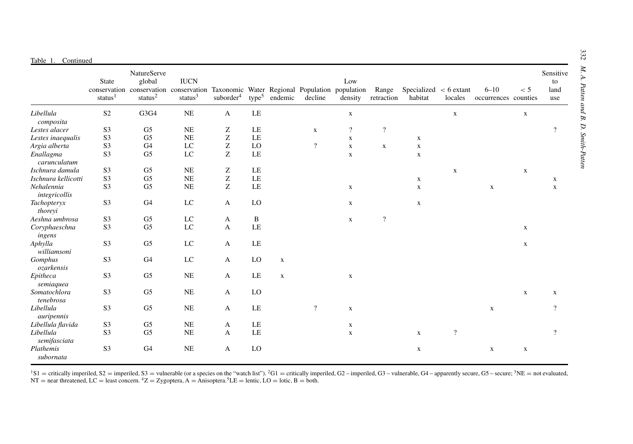|                             | State<br>status <sup>1</sup> | NatureServe<br>global<br>conservation conservation conservation Taxonomic Water Regional Population population<br>status $^2$ | <b>IUCN</b><br>status $3$ | suborder <sup>4</sup>                                 | type <sup>5</sup> | endemic     | decline                  | Low<br>density | Range<br>retraction      | Specialized $\lt$ 6 extant<br>habitat | locales        | $6 - 10$<br>occurrences counties | < 5         | Sensitive<br>to<br>land<br>use |
|-----------------------------|------------------------------|-------------------------------------------------------------------------------------------------------------------------------|---------------------------|-------------------------------------------------------|-------------------|-------------|--------------------------|----------------|--------------------------|---------------------------------------|----------------|----------------------------------|-------------|--------------------------------|
| Libellula<br>composita      | S <sub>2</sub>               | G3G4                                                                                                                          | NE                        | $\mathbf{A}$                                          | LE                |             |                          | $\mathbf X$    |                          |                                       | $\mathbf X$    |                                  | $\mathbf X$ |                                |
| Lestes alacer               | S <sub>3</sub>               | G5                                                                                                                            | <b>NE</b>                 | Z                                                     | LE                |             | $\mathbf X$              | $\overline{?}$ | $\overline{?}$           |                                       |                |                                  |             | $\overline{?}$                 |
| Lestes inaequalis           | S <sub>3</sub>               | G <sub>5</sub>                                                                                                                | NE                        | Z                                                     | LE                |             |                          | $\mathbf X$    |                          | X                                     |                |                                  |             |                                |
| Argia alberta               | S <sub>3</sub>               | G <sub>4</sub>                                                                                                                | LC                        | Z                                                     | LO                |             | $\overline{\mathcal{L}}$ | $\mathbf X$    | $\mathbf X$              | $\mathbf X$                           |                |                                  |             |                                |
| Enallagma<br>carunculatum   | S <sub>3</sub>               | G <sub>5</sub>                                                                                                                | LC                        | $\mathbf{Z}% ^{T}=\mathbf{Z}^{T}\times\mathbf{Z}^{T}$ | LE                |             |                          | $\mathbf X$    |                          | $\mathbf X$                           |                |                                  |             |                                |
| Ischnura damula             | S <sub>3</sub>               | G <sub>5</sub>                                                                                                                | <b>NE</b>                 | Z                                                     | LE                |             |                          |                |                          |                                       | $\mathbf X$    |                                  | $\mathbf X$ |                                |
| Ischnura kellicotti         | S3                           | G <sub>5</sub>                                                                                                                | NE                        | $\mathbf{Z}% ^{T}=\mathbf{Z}^{T}\times\mathbf{Z}^{T}$ | LE                |             |                          |                |                          | X                                     |                |                                  |             | X                              |
| Nehalennia<br>integricollis | S <sub>3</sub>               | G <sub>5</sub>                                                                                                                | NE                        | $\mathbf{Z}% ^{T}=\mathbf{Z}^{T}\times\mathbf{Z}^{T}$ | LE                |             |                          | $\mathbf X$    |                          | $\mathbf X$                           |                | $\mathbf X$                      |             | $\mathbf X$                    |
| Tachopteryx<br>thoreyi      | S <sub>3</sub>               | G <sub>4</sub>                                                                                                                | LC                        | A                                                     | LO                |             |                          | $\mathbf X$    |                          | $\mathbf X$                           |                |                                  |             |                                |
| Aeshna umbrosa              | S <sub>3</sub>               | G5                                                                                                                            | LC                        | A                                                     | B                 |             |                          | $\mathbf X$    | $\overline{\mathcal{L}}$ |                                       |                |                                  |             |                                |
| Coryphaeschna<br>ingens     | S3                           | G <sub>5</sub>                                                                                                                | $_{\rm LC}$               | A                                                     | LE                |             |                          |                |                          |                                       |                |                                  | $\mathbf X$ |                                |
| Aphylla<br>williamsoni      | S <sub>3</sub>               | G <sub>5</sub>                                                                                                                | $_{\rm LC}$               | $\mathbf{A}$                                          | LE                |             |                          |                |                          |                                       |                |                                  | $\mathbf X$ |                                |
| Gomphus<br>ozarkensis       | S <sub>3</sub>               | G4                                                                                                                            | LC                        | A                                                     | LO                | $\mathbf X$ |                          |                |                          |                                       |                |                                  |             |                                |
| Epitheca<br>semiaquea       | S3                           | G <sub>5</sub>                                                                                                                | NE                        | A                                                     | LE                | $\mathbf x$ |                          | $\mathbf X$    |                          |                                       |                |                                  |             |                                |
| Somatochlora<br>tenebrosa   | S <sub>3</sub>               | G <sub>5</sub>                                                                                                                | <b>NE</b>                 | A                                                     | LO                |             |                          |                |                          |                                       |                |                                  | $\mathbf X$ | X                              |
| Libellula<br>auripennis     | S <sub>3</sub>               | G <sub>5</sub>                                                                                                                | <b>NE</b>                 | A                                                     | LE                |             | $\overline{\mathcal{L}}$ | $\mathbf X$    |                          |                                       |                | $\mathbf X$                      |             | $\overline{?}$                 |
| Libellula flavida           | S <sub>3</sub>               | G <sub>5</sub>                                                                                                                | <b>NE</b>                 | A                                                     | LE                |             |                          | $\mathbf X$    |                          |                                       |                |                                  |             |                                |
| Libellula<br>semifasciata   | S3                           | G <sub>5</sub>                                                                                                                | NE                        | A                                                     | LE                |             |                          | $\mathbf X$    |                          | $\mathbf X$                           | $\overline{?}$ |                                  |             | $\overline{?}$                 |
| Plathemis<br>subornata      | S <sub>3</sub>               | G <sub>4</sub>                                                                                                                | NE                        | A                                                     | LO                |             |                          |                |                          | $\mathbf X$                           |                | $\mathbf X$                      | $\mathbf x$ |                                |

<sup>1</sup>S1 = critically imperiled, S2 = imperiled, S3 = vulnerable (or a species on the "watch list"). <sup>2</sup>G1 = critically imperiled, G2 – imperiled, G3 – vulnerable, G4 – apparently secure, G5 – secure; <sup>3</sup>NE = not evaluated N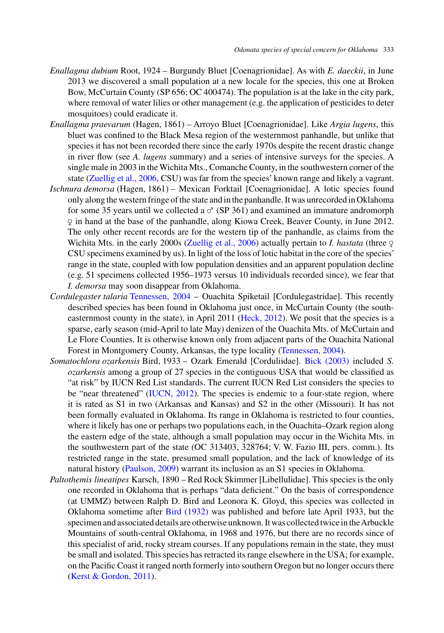- *Enallagma dubium* Root, 1924 Burgundy Bluet [Coenagrionidae]. As with *E. daeckii*, in June 2013 we discovered a small population at a new locale for the species, this one at Broken Bow, McCurtain County (SP 656; OC 400474). The population is at the lake in the city park, where removal of water lilies or other management (e.g. the application of pesticides to deter mosquitoes) could eradicate it.
- *Enallagma praevarum* (Hagen, 1861) Arroyo Bluet [Coenagrionidae]. Like *Argia lugens*, this bluet was confined to the Black Mesa region of the westernmost panhandle, but unlike that species it has not been recorded there since the early 1970s despite the recent drastic change in river flow (see *A. lugens* summary) and a series of intensive surveys for the species. A single male in 2003 in the Wichita Mts., Comanche County, in the southwestern corner of the state [\(Zuellig et al., 2006,](#page-23-0) CSU) was far from the species' known range and likely a vagrant.
- *Ischnura demorsa* (Hagen, 1861) Mexican Forktail [Coenagrionidae]. A lotic species found only along the western fringe of the state and in the panhandle. It was unrecorded in Oklahoma for some 35 years until we collected a  $\sigma$  (SP 361) and examined an immature andromorph ✙ in hand at the base of the panhandle, along Kiowa Creek, Beaver County, in June 2012. The only other recent records are for the western tip of the panhandle, as claims from the Wichita Mts. in the early 2000s (Zuellig et al., 2006) actually pertain to *I. hastata* (three  $\varphi$ CSU specimens examined by us). In light of the loss of lotic habitat in the core of the species' range in the state, coupled with low population densities and an apparent population decline (e.g. 51 specimens collected 1956–1973 versus 10 individuals recorded since), we fear that *I. demorsa* may soon disappear from Oklahoma.
- *Cordulegaster talaria* [Tennessen, 2004](#page-23-0) Ouachita Spiketail [Cordulegastridae]. This recently described species has been found in Oklahoma just once, in McCurtain County (the south-easternmost county in the state), in April 2011 [\(Heck, 2012\)](#page-22-0). We posit that the species is a sparse, early season (mid-April to late May) denizen of the Ouachita Mts. of McCurtain and Le Flore Counties. It is otherwise known only from adjacent parts of the Ouachita National Forest in Montgomery County, Arkansas, the type locality [\(Tennessen, 2004\)](#page-23-0).
- *Somatochlora ozarkensis* Bird, 1933 Ozark Emerald [Corduliidae]. [Bick \(2003\)](#page-21-0) included *S. ozarkensis* among a group of 27 species in the contiguous USA that would be classified as "at risk" by IUCN Red List standards. The current IUCN Red List considers the species to be "near threatened" [\(IUCN, 2012\)](#page-22-0). The species is endemic to a four-state region, where it is rated as S1 in two (Arkansas and Kansas) and S2 in the other (Missouri). It has not been formally evaluated in Oklahoma. Its range in Oklahoma is restricted to four counties, where it likely has one or perhaps two populations each, in the Ouachita–Ozark region along the eastern edge of the state, although a small population may occur in the Wichita Mts. in the southwestern part of the state (OC 313403, 328764; V. W. Fazio III, pers. comm.). Its restricted range in the state, presumed small population, and the lack of knowledge of its natural history [\(Paulson, 2009\)](#page-22-0) warrant its inclusion as an S1 species in Oklahoma.
- *Paltothemis lineatipes* Karsch, 1890 Red Rock Skimmer [Libellulidae]. This species is the only one recorded in Oklahoma that is perhaps "data deficient." On the basis of correspondence (at UMMZ) between Ralph D. Bird and Leonora K. Gloyd, this species was collected in Oklahoma sometime after [Bird \(1932\)](#page-21-0) was published and before late April 1933, but the specimen and associated details are otherwise unknown. It was collected twice in theArbuckle Mountains of south-central Oklahoma, in 1968 and 1976, but there are no records since of this specialist of arid, rocky stream courses. If any populations remain in the state, they must be small and isolated. This species has retracted its range elsewhere in the USA; for example, on the Pacific Coast it ranged north formerly into southern Oregon but no longer occurs there [\(Kerst & Gordon, 2011\)](#page-22-0).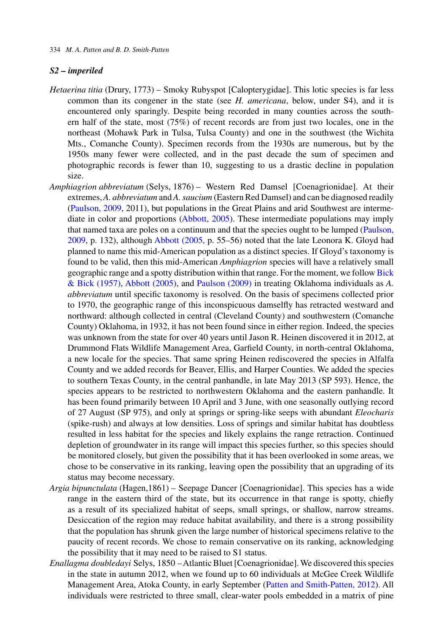### *S2 – imperiled*

- *Hetaerina titia* (Drury, 1773) Smoky Rubyspot [Calopterygidae]. This lotic species is far less common than its congener in the state (see *H. americana*, below, under S4), and it is encountered only sparingly. Despite being recorded in many counties across the southern half of the state, most (75%) of recent records are from just two locales, one in the northeast (Mohawk Park in Tulsa, Tulsa County) and one in the southwest (the Wichita Mts., Comanche County). Specimen records from the 1930s are numerous, but by the 1950s many fewer were collected, and in the past decade the sum of specimen and photographic records is fewer than 10, suggesting to us a drastic decline in population size.
- *Amphiagrion abbreviatum* (Selys, 1876) Western Red Damsel [Coenagrionidae]. At their extremes,*A. abbreviatum* and*A. saucium* (Eastern Red Damsel) and can be diagnosed readily [\(Paulson, 2009,](#page-22-0) 2011), but populations in the Great Plains and arid Southwest are intermediate in color and proportions [\(Abbott, 2005\)](#page-21-0). These intermediate populations may imply that named taxa are poles on a continuum and that the species ought to be lumped [\(Paulson,](#page-22-0) [2009,](#page-22-0) p. 132), although [Abbott \(2005,](#page-21-0) p. 55–56) noted that the late Leonora K. Gloyd had planned to name this mid-American population as a distinct species. If Gloyd's taxonomy is found to be valid, then this mid-American *Amphiagrion* species will have a relatively small geographic range and a spotty distribution within that range. For the moment, we follow [Bick](#page-21-0) [& Bick \(1957\),](#page-21-0) [Abbott \(2005\),](#page-21-0) and [Paulson \(2009\)](#page-22-0) in treating Oklahoma individuals as *A. abbreviatum* until specific taxonomy is resolved. On the basis of specimens collected prior to 1970, the geographic range of this inconspicuous damselfly has retracted westward and northward: although collected in central (Cleveland County) and southwestern (Comanche County) Oklahoma, in 1932, it has not been found since in either region. Indeed, the species was unknown from the state for over 40 years until Jason R. Heinen discovered it in 2012, at Drummond Flats Wildlife Management Area, Garfield County, in north-central Oklahoma, a new locale for the species. That same spring Heinen rediscovered the species in Alfalfa County and we added records for Beaver, Ellis, and Harper Counties. We added the species to southern Texas County, in the central panhandle, in late May 2013 (SP 593). Hence, the species appears to be restricted to northwestern Oklahoma and the eastern panhandle. It has been found primarily between 10 April and 3 June, with one seasonally outlying record of 27 August (SP 975), and only at springs or spring-like seeps with abundant *Eleocharis* (spike-rush) and always at low densities. Loss of springs and similar habitat has doubtless resulted in less habitat for the species and likely explains the range retraction. Continued depletion of groundwater in its range will impact this species further, so this species should be monitored closely, but given the possibility that it has been overlooked in some areas, we chose to be conservative in its ranking, leaving open the possibility that an upgrading of its status may become necessary.
- *Argia bipunctulata* (Hagen,1861) Seepage Dancer [Coenagrionidae]. This species has a wide range in the eastern third of the state, but its occurrence in that range is spotty, chiefly as a result of its specialized habitat of seeps, small springs, or shallow, narrow streams. Desiccation of the region may reduce habitat availability, and there is a strong possibility that the population has shrunk given the large number of historical specimens relative to the paucity of recent records. We chose to remain conservative on its ranking, acknowledging the possibility that it may need to be raised to S1 status.
- *Enallagma doubledayi* Selys, 1850 –Atlantic Bluet [Coenagrionidae]. We discovered this species in the state in autumn 2012, when we found up to 60 individuals at McGee Creek Wildlife Management Area, Atoka County, in early September [\(Patten and Smith-Patten, 2012\)](#page-22-0). All individuals were restricted to three small, clear-water pools embedded in a matrix of pine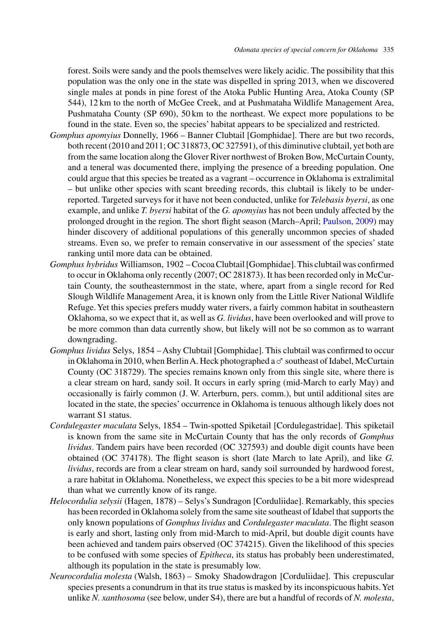forest. Soils were sandy and the pools themselves were likely acidic. The possibility that this population was the only one in the state was dispelled in spring 2013, when we discovered single males at ponds in pine forest of the Atoka Public Hunting Area, Atoka County (SP 544), 12 km to the north of McGee Creek, and at Pushmataha Wildlife Management Area, Pushmataha County (SP 690), 50 km to the northeast. We expect more populations to be found in the state. Even so, the species' habitat appears to be specialized and restricted.

- *Gomphus apomyius* Donnelly, 1966 Banner Clubtail [Gomphidae]. There are but two records, both recent (2010 and 2011; OC 318873, OC 327591), of this diminutive clubtail, yet both are from the same location along the Glover River northwest of Broken Bow, McCurtain County, and a teneral was documented there, implying the presence of a breeding population. One could argue that this species be treated as a vagrant – occurrence in Oklahoma is extralimital – but unlike other species with scant breeding records, this clubtail is likely to be underreported. Targeted surveys for it have not been conducted, unlike for *Telebasis byersi*, as one example, and unlike *T. byersi* habitat of the *G. apomyius* has not been unduly affected by the prolonged drought in the region. The short flight season (March–April; [Paulson, 2009\)](#page-22-0) may hinder discovery of additional populations of this generally uncommon species of shaded streams. Even so, we prefer to remain conservative in our assessment of the species' state ranking until more data can be obtained.
- *Gomphus hybridus* Williamson, 1902 Cocoa Clubtail [Gomphidae].This clubtail was confirmed to occur in Oklahoma only recently (2007; OC 281873). It has been recorded only in McCurtain County, the southeasternmost in the state, where, apart from a single record for Red Slough Wildlife Management Area, it is known only from the Little River National Wildlife Refuge. Yet this species prefers muddy water rivers, a fairly common habitat in southeastern Oklahoma, so we expect that it, as well as *G. lividus*, have been overlooked and will prove to be more common than data currently show, but likely will not be so common as to warrant downgrading.
- *Gomphus lividus* Selys, 1854 Ashy Clubtail [Gomphidae]. This clubtail was confirmed to occur in Oklahoma in 2010, when Berlin A. Heck photographed a  $\sigma$  southeast of Idabel, McCurtain County (OC 318729). The species remains known only from this single site, where there is a clear stream on hard, sandy soil. It occurs in early spring (mid-March to early May) and occasionally is fairly common (J. W. Arterburn, pers. comm.), but until additional sites are located in the state, the species' occurrence in Oklahoma is tenuous although likely does not warrant S1 status.
- *Cordulegaster maculata* Selys, 1854 Twin-spotted Spiketail [Cordulegastridae]. This spiketail is known from the same site in McCurtain County that has the only records of *Gomphus lividus*. Tandem pairs have been recorded (OC 327593) and double digit counts have been obtained (OC 374178). The flight season is short (late March to late April), and like *G. lividus*, records are from a clear stream on hard, sandy soil surrounded by hardwood forest, a rare habitat in Oklahoma. Nonetheless, we expect this species to be a bit more widespread than what we currently know of its range.
- *Helocordulia selysii* (Hagen, 1878) Selys's Sundragon [Corduliidae]. Remarkably, this species has been recorded in Oklahoma solely from the same site southeast of Idabel that supports the only known populations of *Gomphus lividus* and *Cordulegaster maculata*. The flight season is early and short, lasting only from mid-March to mid-April, but double digit counts have been achieved and tandem pairs observed (OC 374215). Given the likelihood of this species to be confused with some species of *Epitheca*, its status has probably been underestimated, although its population in the state is presumably low.
- *Neurocordulia molesta* (Walsh, 1863) Smoky Shadowdragon [Corduliidae]. This crepuscular species presents a conundrum in that its true status is masked by its inconspicuous habits.Yet unlike *N. xanthosoma* (see below, under S4), there are but a handful of records of *N. molesta*,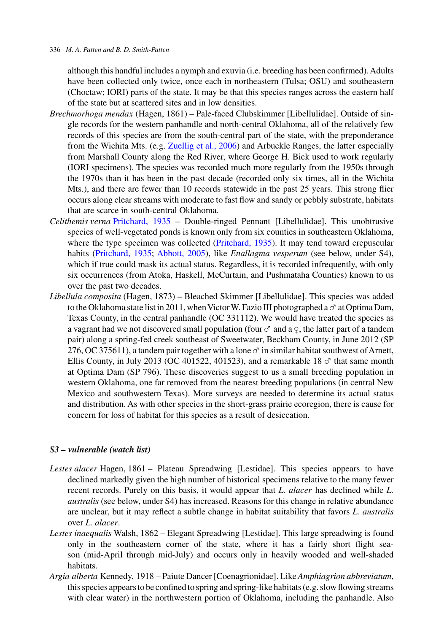### 336 *M. A. Patten and B. D. Smith-Patten*

although this handful includes a nymph and exuvia (i.e. breeding has been confirmed).Adults have been collected only twice, once each in northeastern (Tulsa; OSU) and southeastern (Choctaw; IORI) parts of the state. It may be that this species ranges across the eastern half of the state but at scattered sites and in low densities.

- *Brechmorhoga mendax* (Hagen, 1861) Pale-faced Clubskimmer [Libellulidae]. Outside of single records for the western panhandle and north-central Oklahoma, all of the relatively few records of this species are from the south-central part of the state, with the preponderance from the Wichita Mts. (e.g. [Zuellig et al., 2006\)](#page-23-0) and Arbuckle Ranges, the latter especially from Marshall County along the Red River, where George H. Bick used to work regularly (IORI specimens). The species was recorded much more regularly from the 1950s through the 1970s than it has been in the past decade (recorded only six times, all in the Wichita Mts.), and there are fewer than 10 records statewide in the past 25 years. This strong flier occurs along clear streams with moderate to fast flow and sandy or pebbly substrate, habitats that are scarce in south-central Oklahoma.
- *Celithemis verna* [Pritchard, 1935](#page-22-0) Double-ringed Pennant [Libellulidae]. This unobtrusive species of well-vegetated ponds is known only from six counties in southeastern Oklahoma, where the type specimen was collected [\(Pritchard, 1935\)](#page-22-0). It may tend toward crepuscular habits [\(Pritchard, 1935;](#page-22-0) [Abbott, 2005\)](#page-21-0), like *Enallagma vesperum* (see below, under S4), which if true could mask its actual status. Regardless, it is recorded infrequently, with only six occurrences (from Atoka, Haskell, McCurtain, and Pushmataha Counties) known to us over the past two decades.
- *Libellula composita* (Hagen, 1873) Bleached Skimmer [Libellulidae]. This species was added to the Oklahoma state list in 2011, when Victor W. Fazio III photographed a  $\sigma^*$  at Optima Dam, Texas County, in the central panhandle (OC 331112). We would have treated the species as a vagrant had we not discovered small population (four  $\sigma$  and a  $\varphi$ , the latter part of a tandem pair) along a spring-fed creek southeast of Sweetwater, Beckham County, in June 2012 (SP 276, OC 375611), a tandem pair together with a lone  $\sigma$  in similar habitat southwest of Arnett, Ellis County, in July 2013 (OC 401522, 401523), and a remarkable 18  $\sigma$ <sup>\*</sup> that same month at Optima Dam (SP 796). These discoveries suggest to us a small breeding population in western Oklahoma, one far removed from the nearest breeding populations (in central New Mexico and southwestern Texas). More surveys are needed to determine its actual status and distribution. As with other species in the short-grass prairie ecoregion, there is cause for concern for loss of habitat for this species as a result of desiccation.

# *S3 – vulnerable (watch list)*

- *Lestes alacer* Hagen, 1861 Plateau Spreadwing [Lestidae]. This species appears to have declined markedly given the high number of historical specimens relative to the many fewer recent records. Purely on this basis, it would appear that *L. alacer* has declined while *L. australis* (see below, under S4) has increased. Reasons for this change in relative abundance are unclear, but it may reflect a subtle change in habitat suitability that favors *L. australis* over *L. alacer*.
- *Lestes inaequalis* Walsh, 1862 Elegant Spreadwing [Lestidae]. This large spreadwing is found only in the southeastern corner of the state, where it has a fairly short flight season (mid-April through mid-July) and occurs only in heavily wooded and well-shaded habitats.
- *Argia alberta* Kennedy, 1918 Paiute Dancer [Coenagrionidae]. Like *Amphiagrion abbreviatum*, this species appears to be confined to spring and spring-like habitats (e.g. slow flowing streams with clear water) in the northwestern portion of Oklahoma, including the panhandle. Also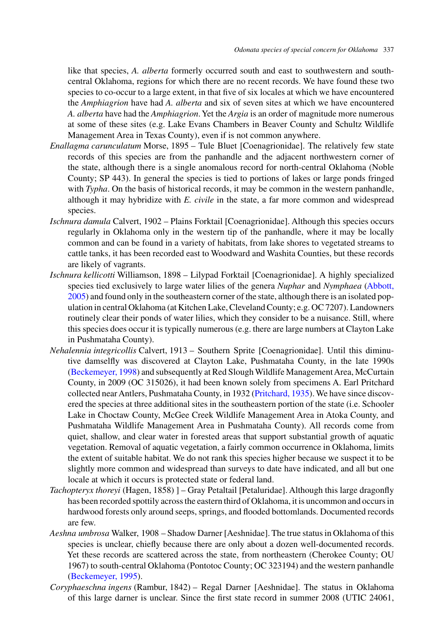like that species, *A. alberta* formerly occurred south and east to southwestern and southcentral Oklahoma, regions for which there are no recent records. We have found these two species to co-occur to a large extent, in that five of six locales at which we have encountered the *Amphiagrion* have had *A. alberta* and six of seven sites at which we have encountered *A. alberta* have had the *Amphiagrion*.Yet the *Argia* is an order of magnitude more numerous at some of these sites (e.g. Lake Evans Chambers in Beaver County and Schultz Wildlife Management Area in Texas County), even if is not common anywhere.

- *Enallagma carunculatum* Morse, 1895 Tule Bluet [Coenagrionidae]. The relatively few state records of this species are from the panhandle and the adjacent northwestern corner of the state, although there is a single anomalous record for north-central Oklahoma (Noble County; SP 443). In general the species is tied to portions of lakes or large ponds fringed with *Typha*. On the basis of historical records, it may be common in the western panhandle, although it may hybridize with *E. civile* in the state, a far more common and widespread species.
- *Ischnura damula* Calvert, 1902 Plains Forktail [Coenagrionidae]. Although this species occurs regularly in Oklahoma only in the western tip of the panhandle, where it may be locally common and can be found in a variety of habitats, from lake shores to vegetated streams to cattle tanks, it has been recorded east to Woodward and Washita Counties, but these records are likely of vagrants.
- *Ischnura kellicotti* Williamson, 1898 Lilypad Forktail [Coenagrionidae]. A highly specialized speci[es](#page-21-0) [tied](#page-21-0) [exclusively](#page-21-0) [to](#page-21-0) [large](#page-21-0) [water](#page-21-0) [lilies](#page-21-0) [of](#page-21-0) [the](#page-21-0) [genera](#page-21-0) *Nuphar* and *Nymphaea* (Abbott, 2005) and found only in the southeastern corner of the state, although there is an isolated population in central Oklahoma (at Kitchen Lake, Cleveland County; e.g. OC 7207). Landowners routinely clear their ponds of water lilies, which they consider to be a nuisance. Still, where this species does occur it is typically numerous (e.g. there are large numbers at Clayton Lake in Pushmataha County).
- *Nehalennia integricollis* Calvert, 1913 Southern Sprite [Coenagrionidae]. Until this diminutive damselfly was discovered at Clayton Lake, Pushmataha County, in the late 1990s [\(Beckemeyer, 1998\)](#page-21-0) and subsequently at Red Slough Wildlife Management Area, McCurtain County, in 2009 (OC 315026), it had been known solely from specimens A. Earl Pritchard collected near Antlers, Pushmataha County, in 1932 [\(Pritchard, 1935\)](#page-22-0). We have since discovered the species at three additional sites in the southeastern portion of the state (i.e. Schooler Lake in Choctaw County, McGee Creek Wildlife Management Area in Atoka County, and Pushmataha Wildlife Management Area in Pushmataha County). All records come from quiet, shallow, and clear water in forested areas that support substantial growth of aquatic vegetation. Removal of aquatic vegetation, a fairly common occurrence in Oklahoma, limits the extent of suitable habitat. We do not rank this species higher because we suspect it to be slightly more common and widespread than surveys to date have indicated, and all but one locale at which it occurs is protected state or federal land.
- *Tachopteryx thoreyi* (Hagen, 1858) ] Gray Petaltail [Petaluridae]. Although this large dragonfly has been recorded spottily across the eastern third of Oklahoma, it is uncommon and occurs in hardwood forests only around seeps, springs, and flooded bottomlands. Documented records are few.
- *Aeshna umbrosa* Walker, 1908 Shadow Darner [Aeshnidae]. The true status in Oklahoma of this species is unclear, chiefly because there are only about a dozen well-documented records. Yet these records are scattered across the state, from northeastern (Cherokee County; OU 1967) to south-central Oklahoma (Pontotoc County; OC 323194) and the western panhandle [\(Beckemeyer, 1995\)](#page-21-0).
- *Coryphaeschna ingens* (Rambur, 1842) Regal Darner [Aeshnidae]. The status in Oklahoma of this large darner is unclear. Since the first state record in summer 2008 (UTIC 24061,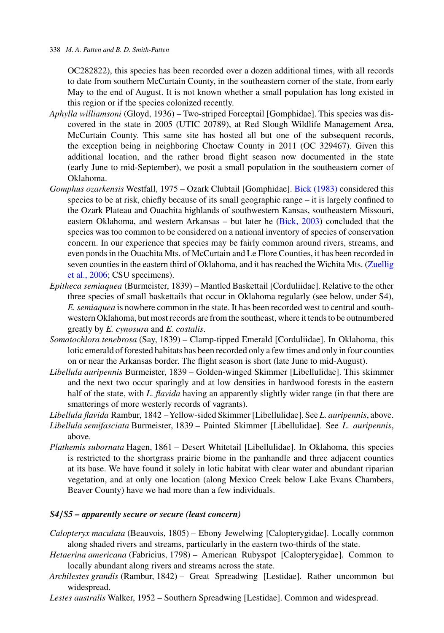OC282822), this species has been recorded over a dozen additional times, with all records to date from southern McCurtain County, in the southeastern corner of the state, from early May to the end of August. It is not known whether a small population has long existed in this region or if the species colonized recently.

- *Aphylla williamsoni* (Gloyd, 1936) Two-striped Forceptail [Gomphidae]. This species was discovered in the state in 2005 (UTIC 20789), at Red Slough Wildlife Management Area, McCurtain County. This same site has hosted all but one of the subsequent records, the exception being in neighboring Choctaw County in 2011 (OC 329467). Given this additional location, and the rather broad flight season now documented in the state (early June to mid-September), we posit a small population in the southeastern corner of Oklahoma.
- *Gomphus ozarkensis* Westfall, 1975 Ozark Clubtail [Gomphidae]. [Bick \(1983\)](#page-21-0) considered this species to be at risk, chiefly because of its small geographic range – it is largely confined to the Ozark Plateau and Ouachita highlands of southwestern Kansas, southeastern Missouri, eastern Oklahoma, and western Arkansas – but later he [\(Bick, 2003\)](#page-21-0) concluded that the species was too common to be considered on a national inventory of species of conservation concern. In our experience that species may be fairly common around rivers, streams, and even ponds in the Ouachita Mts. of McCurtain and Le Flore Counties, it has been recorded in seven counties in the eastern third of Oklahoma, and it has reached the Wichita Mts. [\(Zuellig](#page-23-0) [et al., 2006;](#page-23-0) CSU specimens).
- *Epitheca semiaquea* (Burmeister, 1839) Mantled Baskettail [Corduliidae]. Relative to the other three species of small baskettails that occur in Oklahoma regularly (see below, under S4), *E. semiaquea* is nowhere common in the state. It has been recorded west to central and southwestern Oklahoma, but most records are from the southeast, where it tends to be outnumbered greatly by *E. cynosura* and *E. costalis*.
- *Somatochlora tenebrosa* (Say, 1839) Clamp-tipped Emerald [Corduliidae]. In Oklahoma, this lotic emerald of forested habitats has been recorded only a few times and only in four counties on or near the Arkansas border. The flight season is short (late June to mid-August).
- *Libellula auripennis* Burmeister, 1839 Golden-winged Skimmer [Libellulidae]. This skimmer and the next two occur sparingly and at low densities in hardwood forests in the eastern half of the state, with *L. flavida* having an apparently slightly wider range (in that there are smatterings of more westerly records of vagrants).
- *Libellula flavida* Rambur, 1842 –Yellow-sided Skimmer [Libellulidae]. See *L. auripennis*, above. *Libellula semifasciata* Burmeister, 1839 – Painted Skimmer [Libellulidae]. See *L. auripennis*, above.
- *Plathemis subornata* Hagen, 1861 Desert Whitetail [Libellulidae]. In Oklahoma, this species is restricted to the shortgrass prairie biome in the panhandle and three adjacent counties at its base. We have found it solely in lotic habitat with clear water and abundant riparian vegetation, and at only one location (along Mexico Creek below Lake Evans Chambers, Beaver County) have we had more than a few individuals.

# *S4/S5 – apparently secure or secure (least concern)*

- *Calopteryx maculata* (Beauvois, 1805) Ebony Jewelwing [Calopterygidae]. Locally common along shaded rivers and streams, particularly in the eastern two-thirds of the state.
- *Hetaerina americana* (Fabricius, 1798) American Rubyspot [Calopterygidae]. Common to locally abundant along rivers and streams across the state.
- *Archilestes grandis* (Rambur, 1842) Great Spreadwing [Lestidae]. Rather uncommon but widespread.
- *Lestes australis* Walker, 1952 Southern Spreadwing [Lestidae]. Common and widespread.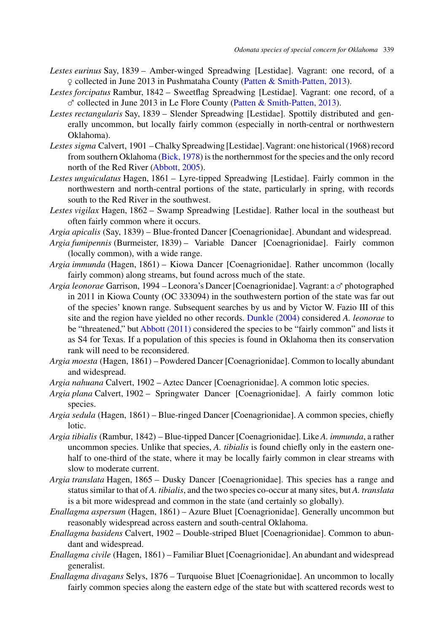- *Lestes eurinus* Say, 1839 Amber-winged Spreadwing [Lestidae]. Vagrant: one record, of a  $Q$  collected in June 2013 in Pushmataha County [\(Patten & Smith-Patten, 2013\)](#page-22-0).
- *Lestes forcipatus* Rambur, 1842 Sweetflag Spreadwing [Lestidae]. Vagrant: one record, of a  $\sigma$  collected in June 2013 in Le Flore County [\(Patten & Smith-Patten, 2013\)](#page-22-0).
- *Lestes rectangularis* Say, 1839 Slender Spreadwing [Lestidae]. Spottily distributed and generally uncommon, but locally fairly common (especially in north-central or northwestern Oklahoma).
- *Lestes sigma* Calvert, 1901 Chalky Spreadwing [Lestidae].Vagrant: one historical (1968) record from southern Oklahoma [\(Bick, 1978\)](#page-21-0) is the northernmost for the species and the only record north of the Red River [\(Abbott, 2005\)](#page-21-0).
- *Lestes unguiculatus* Hagen, 1861 Lyre-tipped Spreadwing [Lestidae]. Fairly common in the northwestern and north-central portions of the state, particularly in spring, with records south to the Red River in the southwest.
- *Lestes vigilax* Hagen, 1862 Swamp Spreadwing [Lestidae]. Rather local in the southeast but often fairly common where it occurs.
- *Argia apicalis* (Say, 1839) Blue-fronted Dancer [Coenagrionidae]. Abundant and widespread.
- *Argia fumipennis* (Burmeister, 1839) Variable Dancer [Coenagrionidae]. Fairly common (locally common), with a wide range.
- *Argia immunda* (Hagen, 1861) Kiowa Dancer [Coenagrionidae]. Rather uncommon (locally fairly common) along streams, but found across much of the state.
- *Argia leonorae* Garrison, 1994 Leonora's Dancer [Coenagrionidae]. Vagrant: a c<sup>y</sup> photographed in 2011 in Kiowa County (OC 333094) in the southwestern portion of the state was far out of the species' known range. Subsequent searches by us and by Victor W. Fazio III of this site and the region have yielded no other records. [Dunkle \(2004\)](#page-22-0) considered *A. leonorae* to be "threatened," but [Abbott \(2011\)](#page-21-0) considered the species to be "fairly common" and lists it as S4 for Texas. If a population of this species is found in Oklahoma then its conservation rank will need to be reconsidered.
- *Argia moesta* (Hagen, 1861) Powdered Dancer [Coenagrionidae]. Common to locally abundant and widespread.
- *Argia nahuana* Calvert, 1902 Aztec Dancer [Coenagrionidae]. A common lotic species.
- *Argia plana* Calvert, 1902 Springwater Dancer [Coenagrionidae]. A fairly common lotic species.
- *Argia sedula* (Hagen, 1861) Blue-ringed Dancer [Coenagrionidae]. A common species, chiefly lotic.
- *Argia tibialis* (Rambur, 1842) Blue-tipped Dancer [Coenagrionidae]. Like *A. immunda*, a rather uncommon species. Unlike that species, *A. tibialis* is found chiefly only in the eastern onehalf to one-third of the state, where it may be locally fairly common in clear streams with slow to moderate current.
- *Argia translata* Hagen, 1865 Dusky Dancer [Coenagrionidae]. This species has a range and status similar to that of *A. tibialis*, and the two species co-occur at many sites, but *A. translata* is a bit more widespread and common in the state (and certainly so globally).
- *Enallagma aspersum* (Hagen, 1861) Azure Bluet [Coenagrionidae]. Generally uncommon but reasonably widespread across eastern and south-central Oklahoma.
- *Enallagma basidens* Calvert, 1902 Double-striped Bluet [Coenagrionidae]. Common to abundant and widespread.
- *Enallagma civile* (Hagen, 1861) Familiar Bluet [Coenagrionidae].An abundant and widespread generalist.
- *Enallagma divagans* Selys, 1876 Turquoise Bluet [Coenagrionidae]. An uncommon to locally fairly common species along the eastern edge of the state but with scattered records west to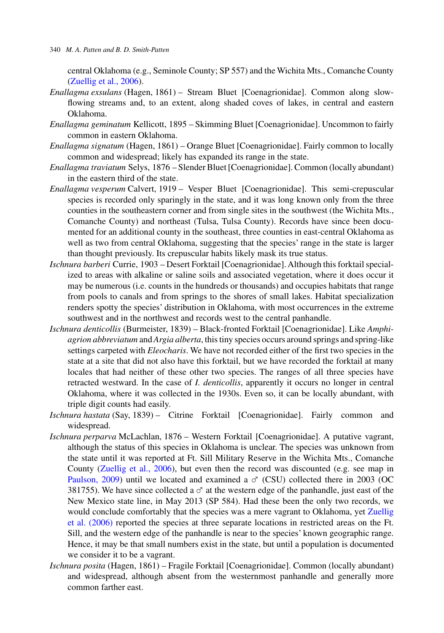central Oklahoma (e.g., Seminole County; SP 557) and the Wichita Mts., Comanche County [\(Zuellig et al., 2006\)](#page-23-0).

- *Enallagma exsulans* (Hagen, 1861) Stream Bluet [Coenagrionidae]. Common along slowflowing streams and, to an extent, along shaded coves of lakes, in central and eastern Oklahoma.
- *Enallagma geminatum* Kellicott, 1895 Skimming Bluet [Coenagrionidae]. Uncommon to fairly common in eastern Oklahoma.
- *Enallagma signatum* (Hagen, 1861) Orange Bluet [Coenagrionidae]. Fairly common to locally common and widespread; likely has expanded its range in the state.
- *Enallagma traviatum* Selys, 1876 Slender Bluet [Coenagrionidae]. Common (locally abundant) in the eastern third of the state.
- *Enallagma vesperum* Calvert, 1919 Vesper Bluet [Coenagrionidae]. This semi-crepuscular species is recorded only sparingly in the state, and it was long known only from the three counties in the southeastern corner and from single sites in the southwest (the Wichita Mts., Comanche County) and northeast (Tulsa, Tulsa County). Records have since been documented for an additional county in the southeast, three counties in east-central Oklahoma as well as two from central Oklahoma, suggesting that the species' range in the state is larger than thought previously. Its crepuscular habits likely mask its true status.
- *Ischnura barberi* Currie, 1903 Desert Forktail [Coenagrionidae]. Although this forktail specialized to areas with alkaline or saline soils and associated vegetation, where it does occur it may be numerous (i.e. counts in the hundreds or thousands) and occupies habitats that range from pools to canals and from springs to the shores of small lakes. Habitat specialization renders spotty the species' distribution in Oklahoma, with most occurrences in the extreme southwest and in the northwest and records west to the central panhandle.
- *Ischnura denticollis* (Burmeister, 1839) Black-fronted Forktail [Coenagrionidae]. Like *Amphiagrion abbreviatum* and*Argia alberta*, this tiny species occurs around springs and spring-like settings carpeted with *Eleocharis*. We have not recorded either of the first two species in the state at a site that did not also have this forktail, but we have recorded the forktail at many locales that had neither of these other two species. The ranges of all three species have retracted westward. In the case of *I. denticollis*, apparently it occurs no longer in central Oklahoma, where it was collected in the 1930s. Even so, it can be locally abundant, with triple digit counts had easily.
- *Ischnura hastata* (Say, 1839) Citrine Forktail [Coenagrionidae]. Fairly common and widespread.
- *Ischnura perparva* McLachlan, 1876 Western Forktail [Coenagrionidae]. A putative vagrant, although the status of this species in Oklahoma is unclear. The species was unknown from the state until it was reported at Ft. Sill Military Reserve in the Wichita Mts., Comanche County [\(Zuellig et al., 2006\)](#page-23-0), but even then the record was discounted (e.g. see map in [Paulson, 2009\)](#page-22-0) until we located and examined a  $\sigma$  (CSU) collected there in 2003 (OC 381755). We have since collected a  $\sigma$  at the western edge of the panhandle, just east of the New Mexico state line, in May 2013 (SP 584). Had these been the only two records, we would conclude comfortably that the species was a mere vagrant to Oklahoma, yet [Zuellig](#page-23-0) [et al. \(2006\)](#page-23-0) reported the species at three separate locations in restricted areas on the Ft. Sill, and the western edge of the panhandle is near to the species' known geographic range. Hence, it may be that small numbers exist in the state, but until a population is documented we consider it to be a vagrant.
- *Ischnura posita* (Hagen, 1861) Fragile Forktail [Coenagrionidae]. Common (locally abundant) and widespread, although absent from the westernmost panhandle and generally more common farther east.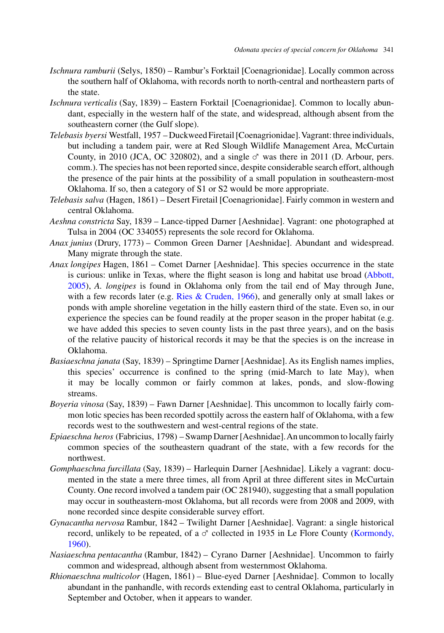- *Ischnura ramburii* (Selys, 1850) Rambur's Forktail [Coenagrionidae]. Locally common across the southern half of Oklahoma, with records north to north-central and northeastern parts of the state.
- *Ischnura verticalis* (Say, 1839) Eastern Forktail [Coenagrionidae]. Common to locally abundant, especially in the western half of the state, and widespread, although absent from the southeastern corner (the Gulf slope).
- *Telebasis byersi* Westfall, 1957 Duckweed Firetail [Coenagrionidae].Vagrant: three individuals, but including a tandem pair, were at Red Slough Wildlife Management Area, McCurtain County, in 2010 (JCA, OC 320802), and a single  $\sigma$  was there in 2011 (D. Arbour, pers. comm.). The species has not been reported since, despite considerable search effort, although the presence of the pair hints at the possibility of a small population in southeastern-most Oklahoma. If so, then a category of S1 or S2 would be more appropriate.
- *Telebasis salva* (Hagen, 1861) Desert Firetail [Coenagrionidae]. Fairly common in western and central Oklahoma.
- *Aeshna constricta* Say, 1839 Lance-tipped Darner [Aeshnidae]. Vagrant: one photographed at Tulsa in 2004 (OC 334055) represents the sole record for Oklahoma.
- *Anax junius* (Drury, 1773) Common Green Darner [Aeshnidae]. Abundant and widespread. Many migrate through the state.
- *Anax longipes* Hagen, 1861 Comet Darner [Aeshnidae]. This species occurrence in the state is cu[rious:](#page-21-0) [unlike](#page-21-0) [in](#page-21-0) [Texas,](#page-21-0) [where](#page-21-0) [the](#page-21-0) [flight](#page-21-0) [season](#page-21-0) [is](#page-21-0) [long](#page-21-0) [and](#page-21-0) [habitat](#page-21-0) [use](#page-21-0) [broad](#page-21-0) [\(A](#page-21-0)bbott, 2005), *A. longipes* is found in Oklahoma only from the tail end of May through June, with a few records later (e.g. [Ries & Cruden, 1966\)](#page-22-0), and generally only at small lakes or ponds with ample shoreline vegetation in the hilly eastern third of the state. Even so, in our experience the species can be found readily at the proper season in the proper habitat (e.g. we have added this species to seven county lists in the past three years), and on the basis of the relative paucity of historical records it may be that the species is on the increase in Oklahoma.
- *Basiaeschna janata* (Say, 1839) Springtime Darner [Aeshnidae]. As its English names implies, this species' occurrence is confined to the spring (mid-March to late May), when it may be locally common or fairly common at lakes, ponds, and slow-flowing streams.
- *Boyeria vinosa* (Say, 1839) Fawn Darner [Aeshnidae]. This uncommon to locally fairly common lotic species has been recorded spottily across the eastern half of Oklahoma, with a few records west to the southwestern and west-central regions of the state.
- *Epiaeschna heros* (Fabricius, 1798) Swamp Darner [Aeshnidae].An uncommon to locally fairly common species of the southeastern quadrant of the state, with a few records for the northwest.
- *Gomphaeschna furcillata* (Say, 1839) Harlequin Darner [Aeshnidae]. Likely a vagrant: documented in the state a mere three times, all from April at three different sites in McCurtain County. One record involved a tandem pair (OC 281940), suggesting that a small population may occur in southeastern-most Oklahoma, but all records were from 2008 and 2009, with none recorded since despite considerable survey effort.
- *Gynacantha nervosa* Rambur, 1842 Twilight Darner [Aeshnidae]. Vagrant: a single historical record, unlikely to be repeated, of a  $\sigma$  collected in 1935 in Le Flore County [\(Kormondy,](#page-22-0) [1960\)](#page-22-0).
- *Nasiaeschna pentacantha* (Rambur, 1842) Cyrano Darner [Aeshnidae]. Uncommon to fairly common and widespread, although absent from westernmost Oklahoma.
- *Rhionaeschna multicolor* (Hagen, 1861) Blue-eyed Darner [Aeshnidae]. Common to locally abundant in the panhandle, with records extending east to central Oklahoma, particularly in September and October, when it appears to wander.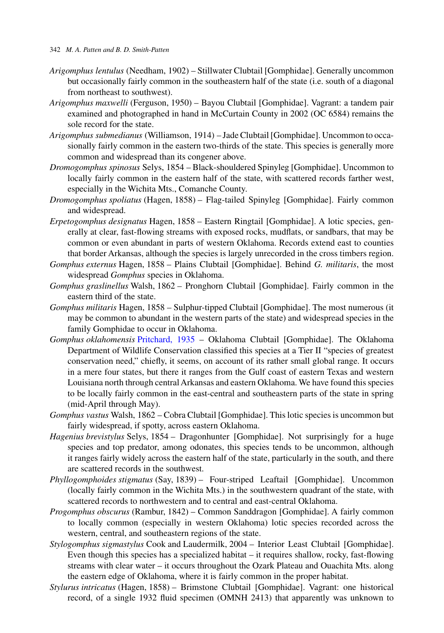### 342 *M. A. Patten and B. D. Smith-Patten*

- *Arigomphus lentulus* (Needham, 1902) Stillwater Clubtail [Gomphidae]. Generally uncommon but occasionally fairly common in the southeastern half of the state (i.e. south of a diagonal from northeast to southwest).
- *Arigomphus maxwelli* (Ferguson, 1950) Bayou Clubtail [Gomphidae]. Vagrant: a tandem pair examined and photographed in hand in McCurtain County in 2002 (OC 6584) remains the sole record for the state.
- *Arigomphus submedianus* (Williamson, 1914) Jade Clubtail [Gomphidae]. Uncommon to occasionally fairly common in the eastern two-thirds of the state. This species is generally more common and widespread than its congener above.
- *Dromogomphus spinosus* Selys, 1854 Black-shouldered Spinyleg [Gomphidae]. Uncommon to locally fairly common in the eastern half of the state, with scattered records farther west, especially in the Wichita Mts., Comanche County.
- *Dromogomphus spoliatus* (Hagen, 1858) Flag-tailed Spinyleg [Gomphidae]. Fairly common and widespread.
- *Erpetogomphus designatus* Hagen, 1858 Eastern Ringtail [Gomphidae]. A lotic species, generally at clear, fast-flowing streams with exposed rocks, mudflats, or sandbars, that may be common or even abundant in parts of western Oklahoma. Records extend east to counties that border Arkansas, although the species is largely unrecorded in the cross timbers region.
- *Gomphus externus* Hagen, 1858 Plains Clubtail [Gomphidae]. Behind *G. militaris*, the most widespread *Gomphus* species in Oklahoma.
- *Gomphus graslinellus* Walsh, 1862 Pronghorn Clubtail [Gomphidae]. Fairly common in the eastern third of the state.
- *Gomphus militaris* Hagen, 1858 Sulphur-tipped Clubtail [Gomphidae]. The most numerous (it may be common to abundant in the western parts of the state) and widespread species in the family Gomphidae to occur in Oklahoma.
- *Gomphus oklahomensis* [Pritchard, 1935](#page-22-0) Oklahoma Clubtail [Gomphidae]. The Oklahoma Department of Wildlife Conservation classified this species at a Tier II "species of greatest conservation need," chiefly, it seems, on account of its rather small global range. It occurs in a mere four states, but there it ranges from the Gulf coast of eastern Texas and western Louisiana north through central Arkansas and eastern Oklahoma. We have found this species to be locally fairly common in the east-central and southeastern parts of the state in spring (mid-April through May).
- *Gomphus vastus* Walsh, 1862 Cobra Clubtail [Gomphidae]. This lotic species is uncommon but fairly widespread, if spotty, across eastern Oklahoma.
- *Hagenius brevistylus* Selys, 1854 Dragonhunter [Gomphidae]. Not surprisingly for a huge species and top predator, among odonates, this species tends to be uncommon, although it ranges fairly widely across the eastern half of the state, particularly in the south, and there are scattered records in the southwest.
- *Phyllogomphoides stigmatus* (Say, 1839) Four-striped Leaftail [Gomphidae]. Uncommon (locally fairly common in the Wichita Mts.) in the southwestern quadrant of the state, with scattered records to northwestern and to central and east-central Oklahoma.
- *Progomphus obscurus* (Rambur, 1842) Common Sanddragon [Gomphidae]. A fairly common to locally common (especially in western Oklahoma) lotic species recorded across the western, central, and southeastern regions of the state.
- *Stylogomphus sigmastylus* Cook and Laudermilk, 2004 Interior Least Clubtail [Gomphidae]. Even though this species has a specialized habitat – it requires shallow, rocky, fast-flowing streams with clear water – it occurs throughout the Ozark Plateau and Ouachita Mts. along the eastern edge of Oklahoma, where it is fairly common in the proper habitat.
- *Stylurus intricatus* (Hagen, 1858) Brimstone Clubtail [Gomphidae]. Vagrant: one historical record, of a single 1932 fluid specimen (OMNH 2413) that apparently was unknown to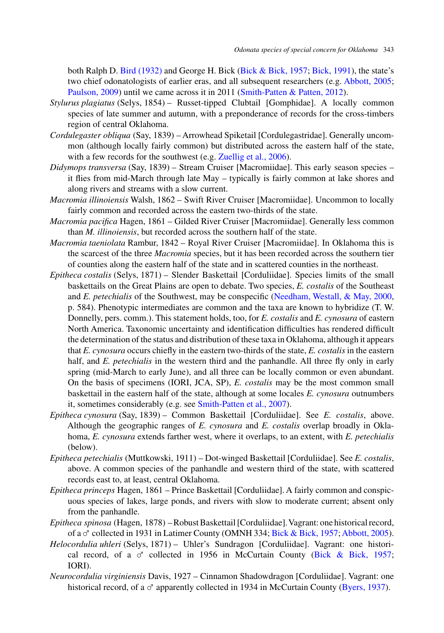both Ralph D. [Bird \(1932\)](#page-21-0) and George H. Bick [\(Bick & Bick, 1957;](#page-21-0) [Bick, 1991\)](#page-21-0), the state's two chief odonatologists of earlier eras, and all subsequent researchers (e.g. [Abbott, 2005;](#page-21-0) [Paulson, 2009\)](#page-22-0) until we came across it in 2011 [\(Smith-Patten & Patten, 2012\)](#page-22-0).

- *Stylurus plagiatus* (Selys, 1854) Russet-tipped Clubtail [Gomphidae]. A locally common species of late summer and autumn, with a preponderance of records for the cross-timbers region of central Oklahoma.
- *Cordulegaster obliqua* (Say, 1839) Arrowhead Spiketail [Cordulegastridae]. Generally uncommon (although locally fairly common) but distributed across the eastern half of the state, with a few records for the southwest (e.g. [Zuellig et al., 2006\)](#page-23-0).
- *Didymops transversa* (Say, 1839) Stream Cruiser [Macromiidae]. This early season species it flies from mid-March through late May – typically is fairly common at lake shores and along rivers and streams with a slow current.
- *Macromia illinoiensis* Walsh, 1862 Swift River Cruiser [Macromiidae]. Uncommon to locally fairly common and recorded across the eastern two-thirds of the state.
- *Macromia pacifica* Hagen, 1861 Gilded River Cruiser [Macromiidae]. Generally less common than *M. illinoiensis*, but recorded across the southern half of the state.
- *Macromia taeniolata* Rambur, 1842 Royal River Cruiser [Macromiidae]. In Oklahoma this is the scarcest of the three *Macromia* species, but it has been recorded across the southern tier of counties along the eastern half of the state and in scattered counties in the northeast.
- *Epitheca costalis* (Selys, 1871) Slender Baskettail [Corduliidae]. Species limits of the small baskettails on the Great Plains are open to debate. Two species, *E. costalis* of the Southeast and *E. petechialis* of the Southwest, may be conspecific [\(Needham, Westall, & May, 2000,](#page-22-0) p. 584). Phenotypic intermediates are common and the taxa are known to hybridize (T. W. Donnelly, pers. comm.). This statement holds, too, for *E. costalis* and *E. cynosura* of eastern North America. Taxonomic uncertainty and identification difficulties has rendered difficult the determination of the status and distribution of these taxa in Oklahoma, although it appears that *E. cynosura* occurs chiefly in the eastern two-thirds of the state, *E. costalis* in the eastern half, and *E. petechialis* in the western third and the panhandle. All three fly only in early spring (mid-March to early June), and all three can be locally common or even abundant. On the basis of specimens (IORI, JCA, SP), *E. costalis* may be the most common small baskettail in the eastern half of the state, although at some locales *E. cynosura* outnumbers it, sometimes considerably (e.g. see [Smith-Patten et al., 2007\)](#page-22-0).
- *Epitheca cynosura* (Say, 1839) Common Baskettail [Corduliidae]. See *E. costalis*, above. Although the geographic ranges of *E. cynosura* and *E. costalis* overlap broadly in Oklahoma, *E. cynosura* extends farther west, where it overlaps, to an extent, with *E. petechialis* (below).
- *Epitheca petechialis* (Muttkowski, 1911) Dot-winged Baskettail [Corduliidae]. See *E. costalis*, above. A common species of the panhandle and western third of the state, with scattered records east to, at least, central Oklahoma.
- *Epitheca princeps* Hagen, 1861 Prince Baskettail [Corduliidae]. A fairly common and conspicuous species of lakes, large ponds, and rivers with slow to moderate current; absent only from the panhandle.
- *Epitheca spinosa* (Hagen, 1878) Robust Baskettail [Corduliidae].Vagrant: one historical record, of a  $\sigma$  collected in 1931 in Latimer County (OMNH 334; [Bick & Bick, 1957;](#page-21-0) [Abbott, 2005\)](#page-21-0).
- *Helocordulia uhleri* (Selys, 1871) Uhler's Sundragon [Corduliidae]. Vagrant: one historical record, of a  $\sigma$  collected in 1956 in McCurtain County [\(Bick & Bick, 1957;](#page-21-0) IORI).
- *Neurocordulia virginiensis* Davis, 1927 Cinnamon Shadowdragon [Corduliidae]. Vagrant: one historical record, of a  $\sigma$  apparently collected in 1934 in McCurtain County [\(Byers, 1937\)](#page-21-0).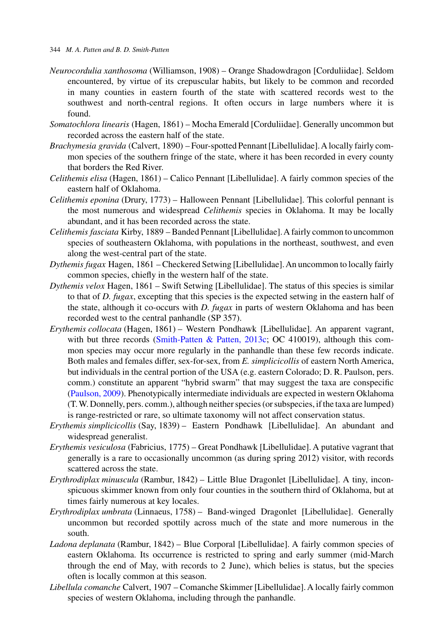- *Neurocordulia xanthosoma* (Williamson, 1908) Orange Shadowdragon [Corduliidae]. Seldom encountered, by virtue of its crepuscular habits, but likely to be common and recorded in many counties in eastern fourth of the state with scattered records west to the southwest and north-central regions. It often occurs in large numbers where it is found.
- *Somatochlora linearis* (Hagen, 1861) Mocha Emerald [Corduliidae]. Generally uncommon but recorded across the eastern half of the state.
- *Brachymesia gravida* (Calvert, 1890) Four-spotted Pennant [Libellulidae].A locally fairly common species of the southern fringe of the state, where it has been recorded in every county that borders the Red River.
- *Celithemis elisa* (Hagen, 1861) Calico Pennant [Libellulidae]. A fairly common species of the eastern half of Oklahoma.
- *Celithemis eponina* (Drury, 1773) Halloween Pennant [Libellulidae]. This colorful pennant is the most numerous and widespread *Celithemis* species in Oklahoma. It may be locally abundant, and it has been recorded across the state.
- *Celithemis fasciata* Kirby, 1889 Banded Pennant [Libellulidae].A fairly common to uncommon species of southeastern Oklahoma, with populations in the northeast, southwest, and even along the west-central part of the state.
- *Dythemis fugax* Hagen, 1861 Checkered Setwing [Libellulidae].An uncommon to locally fairly common species, chiefly in the western half of the state.
- *Dythemis velox* Hagen, 1861 Swift Setwing [Libellulidae]. The status of this species is similar to that of *D. fugax*, excepting that this species is the expected setwing in the eastern half of the state, although it co-occurs with *D. fugax* in parts of western Oklahoma and has been recorded west to the central panhandle (SP 357).
- *Erythemis collocata* (Hagen, 1861) Western Pondhawk [Libellulidae]. An apparent vagrant, with but three records [\(Smith-Patten & Patten, 2013c;](#page-22-0) OC 410019), although this common species may occur more regularly in the panhandle than these few records indicate. Both males and females differ, sex-for-sex, from *E. simplicicollis* of eastern North America, but individuals in the central portion of the USA (e.g. eastern Colorado; D. R. Paulson, pers. comm.) constitute an apparent "hybrid swarm" that may suggest the taxa are conspecific [\(Paulson, 2009\)](#page-22-0). Phenotypically intermediate individuals are expected in western Oklahoma (T.W. Donnelly, pers. comm.), although neither species (or subspecies, if the taxa are lumped) is range-restricted or rare, so ultimate taxonomy will not affect conservation status.
- *Erythemis simplicicollis* (Say, 1839) Eastern Pondhawk [Libellulidae]. An abundant and widespread generalist.
- *Erythemis vesiculosa* (Fabricius, 1775) Great Pondhawk [Libellulidae]. A putative vagrant that generally is a rare to occasionally uncommon (as during spring 2012) visitor, with records scattered across the state.
- *Erythrodiplax minuscula* (Rambur, 1842) Little Blue Dragonlet [Libellulidae]. A tiny, inconspicuous skimmer known from only four counties in the southern third of Oklahoma, but at times fairly numerous at key locales.
- *Erythrodiplax umbrata* (Linnaeus, 1758) Band-winged Dragonlet [Libellulidae]. Generally uncommon but recorded spottily across much of the state and more numerous in the south.
- *Ladona deplanata* (Rambur, 1842) Blue Corporal [Libellulidae]. A fairly common species of eastern Oklahoma. Its occurrence is restricted to spring and early summer (mid-March through the end of May, with records to 2 June), which belies is status, but the species often is locally common at this season.
- *Libellula comanche* Calvert, 1907 Comanche Skimmer [Libellulidae]. A locally fairly common species of western Oklahoma, including through the panhandle.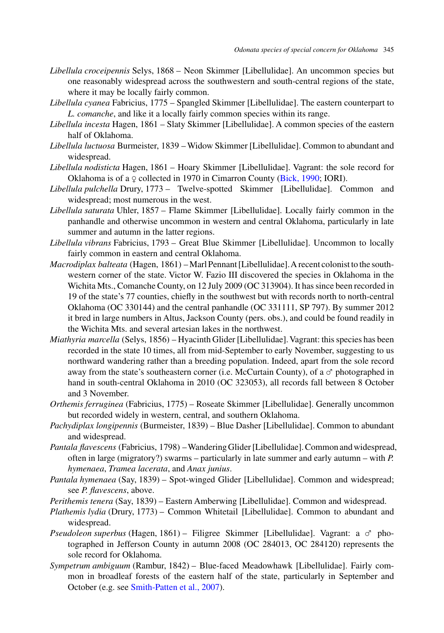- *Libellula croceipennis* Selys, 1868 Neon Skimmer [Libellulidae]. An uncommon species but one reasonably widespread across the southwestern and south-central regions of the state, where it may be locally fairly common.
- *Libellula cyanea* Fabricius, 1775 Spangled Skimmer [Libellulidae]. The eastern counterpart to *L. comanche*, and like it a locally fairly common species within its range.
- *Libellula incesta* Hagen, 1861 Slaty Skimmer [Libellulidae]. A common species of the eastern half of Oklahoma.
- *Libellula luctuosa* Burmeister, 1839 Widow Skimmer [Libellulidae]. Common to abundant and widespread.
- *Libellula nodisticta* Hagen, 1861 Hoary Skimmer [Libellulidae]. Vagrant: the sole record for Oklahoma is of a  $\varphi$  collected in 1970 in Cimarron County [\(Bick, 1990;](#page-21-0) IORI).
- *Libellula pulchella* Drury, 1773 Twelve-spotted Skimmer [Libellulidae]. Common and widespread; most numerous in the west.
- *Libellula saturata* Uhler, 1857 Flame Skimmer [Libellulidae]. Locally fairly common in the panhandle and otherwise uncommon in western and central Oklahoma, particularly in late summer and autumn in the latter regions.
- *Libellula vibrans* Fabricius, 1793 Great Blue Skimmer [Libellulidae]. Uncommon to locally fairly common in eastern and central Oklahoma.
- *Macrodiplax balteata* (Hagen, 1861) Marl Pennant [Libellulidae].A recent colonist to the southwestern corner of the state. Victor W. Fazio III discovered the species in Oklahoma in the Wichita Mts., Comanche County, on 12 July 2009 (OC 313904). It has since been recorded in 19 of the state's 77 counties, chiefly in the southwest but with records north to north-central Oklahoma (OC 330144) and the central panhandle (OC 331111, SP 797). By summer 2012 it bred in large numbers in Altus, Jackson County (pers. obs.), and could be found readily in the Wichita Mts. and several artesian lakes in the northwest.
- *Miathyria marcella* (Selys, 1856) Hyacinth Glider [Libellulidae]. Vagrant: this species has been recorded in the state 10 times, all from mid-September to early November, suggesting to us northward wandering rather than a breeding population. Indeed, apart from the sole record away from the state's southeastern corner (i.e. McCurtain County), of a  $\sigma$  photographed in hand in south-central Oklahoma in 2010 (OC 323053), all records fall between 8 October and 3 November.
- *Orthemis ferruginea* (Fabricius, 1775) Roseate Skimmer [Libellulidae]. Generally uncommon but recorded widely in western, central, and southern Oklahoma.
- *Pachydiplax longipennis* (Burmeister, 1839) Blue Dasher [Libellulidae]. Common to abundant and widespread.
- *Pantala flavescens* (Fabricius, 1798) –Wandering Glider [Libellulidae]. Common and widespread, often in large (migratory?) swarms – particularly in late summer and early autumn – with *P. hymenaea*, *Tramea lacerata*, and *Anax junius*.
- *Pantala hymenaea* (Say, 1839) Spot-winged Glider [Libellulidae]. Common and widespread; see *P. flavescens*, above.
- *Perithemis tenera* (Say, 1839) Eastern Amberwing [Libellulidae]. Common and widespread.
- *Plathemis lydia* (Drury, 1773) Common Whitetail [Libellulidae]. Common to abundant and widespread.
- *Pseudoleon superbus* (Hagen, 1861) Filigree Skimmer [Libellulidae]. Vagrant: a ♂ photographed in Jefferson County in autumn 2008 (OC 284013, OC 284120) represents the sole record for Oklahoma.
- *Sympetrum ambiguum* (Rambur, 1842) Blue-faced Meadowhawk [Libellulidae]. Fairly common in broadleaf forests of the eastern half of the state, particularly in September and October (e.g. see [Smith-Patten et al., 2007\)](#page-22-0).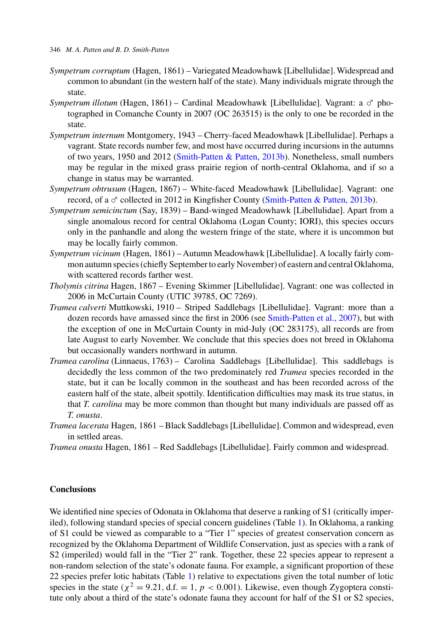- *Sympetrum corruptum* (Hagen, 1861) Variegated Meadowhawk [Libellulidae]. Widespread and common to abundant (in the western half of the state). Many individuals migrate through the state.
- *Sympetrum illotum* (Hagen, 1861) Cardinal Meadowhawk [Libellulidae]. Vagrant: a  $\sigma$  photographed in Comanche County in 2007 (OC 263515) is the only to one be recorded in the state.
- *Sympetrum internum* Montgomery, 1943 Cherry-faced Meadowhawk [Libellulidae]. Perhaps a vagrant. State records number few, and most have occurred during incursions in the autumns of two years, 1950 and 2012 [\(Smith-Patten & Patten, 2013b\)](#page-22-0). Nonetheless, small numbers may be regular in the mixed grass prairie region of north-central Oklahoma, and if so a change in status may be warranted.
- *Sympetrum obtrusum* (Hagen, 1867) White-faced Meadowhawk [Libellulidae]. Vagrant: one record, of a ♂ collected in 2012 in Kingfisher County [\(Smith-Patten & Patten, 2013b\)](#page-22-0).
- *Sympetrum semicinctum* (Say, 1839) Band-winged Meadowhawk [Libellulidae]. Apart from a single anomalous record for central Oklahoma (Logan County; IORI), this species occurs only in the panhandle and along the western fringe of the state, where it is uncommon but may be locally fairly common.
- *Sympetrum vicinum* (Hagen, 1861) Autumn Meadowhawk [Libellulidae]. A locally fairly common autumn species (chiefly September to early November) of eastern and central Oklahoma, with scattered records farther west.
- *Tholymis citrina* Hagen, 1867 Evening Skimmer [Libellulidae]. Vagrant: one was collected in 2006 in McCurtain County (UTIC 39785, OC 7269).
- *Tramea calverti* Muttkowski, 1910 Striped Saddlebags [Libellulidae]. Vagrant: more than a dozen records have amassed since the first in 2006 (see [Smith-Patten et al., 2007\)](#page-22-0), but with the exception of one in McCurtain County in mid-July (OC 283175), all records are from late August to early November. We conclude that this species does not breed in Oklahoma but occasionally wanders northward in autumn.
- *Tramea carolina* (Linnaeus, 1763) Carolina Saddlebags [Libellulidae]. This saddlebags is decidedly the less common of the two predominately red *Tramea* species recorded in the state, but it can be locally common in the southeast and has been recorded across of the eastern half of the state, albeit spottily. Identification difficulties may mask its true status, in that *T. carolina* may be more common than thought but many individuals are passed off as *T. onusta*.
- *Tramea lacerata* Hagen, 1861 Black Saddlebags [Libellulidae]. Common and widespread, even in settled areas.
- *Tramea onusta* Hagen, 1861 Red Saddlebags [Libellulidae]. Fairly common and widespread.

### **Conclusions**

We identified nine species of Odonata in Oklahoma that deserve a ranking of S1 (critically imperiled), following standard species of special concern guidelines (Table [1\)](#page-4-0). In Oklahoma, a ranking of S1 could be viewed as comparable to a "Tier 1" species of greatest conservation concern as recognized by the Oklahoma Department of Wildlife Conservation, just as species with a rank of S2 (imperiled) would fall in the "Tier 2" rank. Together, these 22 species appear to represent a non-random selection of the state's odonate fauna. For example, a significant proportion of these 22 species prefer lotic habitats (Table [1\)](#page-4-0) relative to expectations given the total number of lotic species in the state ( $\chi^2 = 9.21$ , d.f. = 1,  $p < 0.001$ ). Likewise, even though Zygoptera constitute only about a third of the state's odonate fauna they account for half of the S1 or S2 species,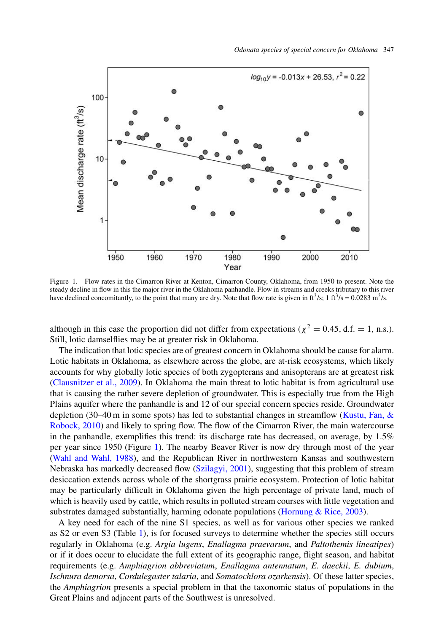

Figure 1. Flow rates in the Cimarron River at Kenton, Cimarron County, Oklahoma, from 1950 to present. Note the steady decline in flow in this the major river in the Oklahoma panhandle. Flow in streams and creeks tributary to this river have declined concomitantly, to the point that many are dry. Note that flow rate is given in  $\text{ft}^3/\text{s}$ ; 1  $\text{ft}^3/\text{s} = 0.0283 \text{ m}^3/\text{s}$ .

although in this case the proportion did not differ from expectations ( $\chi^2 = 0.45$ , d.f. = 1, n.s.). Still, lotic damselflies may be at greater risk in Oklahoma.

The indication that lotic species are of greatest concern in Oklahoma should be cause for alarm. Lotic habitats in Oklahoma, as elsewhere across the globe, are at-risk ecosystems, which likely accounts for why globally lotic species of both zygopterans and anisopterans are at greatest risk [\(Clausnitzer et al., 2009\)](#page-22-0). In Oklahoma the main threat to lotic habitat is from agricultural use that is causing the rather severe depletion of groundwater. This is especially true from the High Plains aquifer where the panhandle is and 12 of our special concern species reside. Groundwater depletion (30–40 m in some spots) has led to substantial changes in streamflow [\(Kustu, Fan, &](#page-22-0) [Robock, 2010\)](#page-22-0) and likely to spring flow. The flow of the Cimarron River, the main watercourse in the panhandle, exemplifies this trend: its discharge rate has decreased, on average, by 1.5% per year since 1950 (Figure 1). The nearby Beaver River is now dry through most of the year [\(Wahl and Wahl, 1988\)](#page-23-0), and the Republican River in northwestern Kansas and southwestern Nebraska has markedly decreased flow [\(Szilagyi, 2001\)](#page-23-0), suggesting that this problem of stream desiccation extends across whole of the shortgrass prairie ecosystem. Protection of lotic habitat may be particularly difficult in Oklahoma given the high percentage of private land, much of which is heavily used by cattle, which results in polluted stream courses with little vegetation and substrates damaged substantially, harming odonate populations [\(Hornung & Rice, 2003\)](#page-22-0).

A key need for each of the nine S1 species, as well as for various other species we ranked as S2 or even S3 (Table [1\)](#page-4-0), is for focused surveys to determine whether the species still occurs regularly in Oklahoma (e.g. *Argia lugens*, *Enallagma praevarum*, and *Paltothemis lineatipes*) or if it does occur to elucidate the full extent of its geographic range, flight season, and habitat requirements (e.g. *Amphiagrion abbreviatum*, *Enallagma antennatum*, *E. daeckii*, *E. dubium*, *Ischnura demorsa*, *Cordulegaster talaria*, and *Somatochlora ozarkensis*). Of these latter species, the *Amphiagrion* presents a special problem in that the taxonomic status of populations in the Great Plains and adjacent parts of the Southwest is unresolved.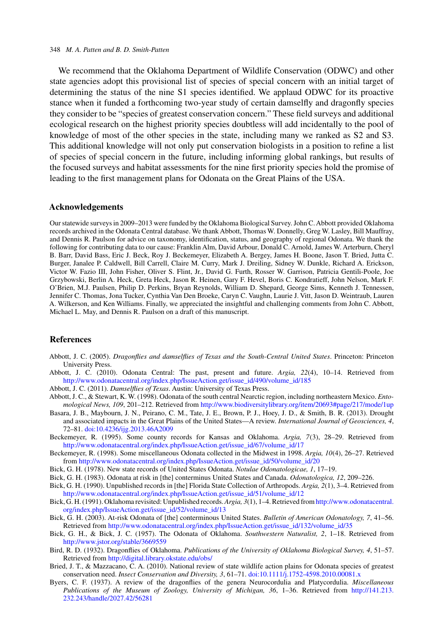#### <span id="page-21-0"></span>348 *M. A. Patten and B. D. Smith-Patten*

We recommend that the Oklahoma Department of Wildlife Conservation (ODWC) and other state agencies adopt this provisional list of species of special concern with an initial target of determining the status of the nine S1 species identified. We applaud ODWC for its proactive stance when it funded a forthcoming two-year study of certain damselfly and dragonfly species they consider to be "species of greatest conservation concern." These field surveys and additional ecological research on the highest priority species doubtless will add incidentally to the pool of knowledge of most of the other species in the state, including many we ranked as S2 and S3. This additional knowledge will not only put conservation biologists in a position to refine a list of species of special concern in the future, including informing global rankings, but results of the focused surveys and habitat assessments for the nine first priority species hold the promise of leading to the first management plans for Odonata on the Great Plains of the USA.

### **Acknowledgements**

Our statewide surveys in 2009–2013 were funded by the Oklahoma Biological Survey. John C. Abbott provided Oklahoma records archived in the Odonata Central database. We thank Abbott, Thomas W. Donnelly, Greg W. Lasley, Bill Mauffray, and Dennis R. Paulson for advice on taxonomy, identification, status, and geography of regional Odonata. We thank the following for contributing data to our cause: Franklin Alm, David Arbour, Donald C. Arnold, James W. Arterburn, Cheryl B. Barr, David Bass, Eric J. Beck, Roy J. Beckemeyer, Elizabeth A. Bergey, James H. Boone, Jason T. Bried, Jutta C. Burger, Janalee P. Caldwell, Bill Carrell, Claire M. Curry, Mark J. Dreiling, Sidney W. Dunkle, Richard A. Erickson, Victor W. Fazio III, John Fisher, Oliver S. Flint, Jr., David G. Furth, Rosser W. Garrison, Patricia Gentili-Poole, Joe Grzybowski, Berlin A. Heck, Greta Heck, Jason R. Heinen, Gary F. Hevel, Boris C. Kondratieff, John Nelson, Mark F. O'Brien, M.J. Paulsen, Philip D. Perkins, Bryan Reynolds, William D. Shepard, George Sims, Kenneth J. Tennessen, Jennifer C. Thomas, Jona Tucker, Cynthia Van Den Broeke, Caryn C. Vaughn, Laurie J. Vitt, Jason D. Weintraub, Lauren A. Wilkerson, and Ken Williams. Finally, we appreciated the insightful and challenging comments from John C. Abbott, Michael L. May, and Dennis R. Paulson on a draft of this manuscript.

## **References**

- Abbott, J. C. (2005). *Dragonflies and damselflies of Texas and the South-Central United States*. Princeton: Princeton University Press.
- Abbott, J. C. (2010). Odonata Central: The past, present and future. *Argia, 22*(4), 10–14. Retrieved from [http://www.odonatacentral.org/index.php/IssueAction.get/issue\\_id/490/volume\\_id/185](http://www.odonatacentral.org/index.php/IssueAction.get/issue_id/490/volume_id/185)
- Abbott, J. C. (2011). *Damselflies of Texas*. Austin: University of Texas Press.
- Abbott, J. C., & Stewart, K. W. (1998). Odonata of the south central Nearctic region, including northeastern Mexico. *Entomological News, 109*, 201–212. Retrieved from <http://www.biodiversitylibrary.org/item/20693#page/217/mode/1up>
- Basara, J. B., Maybourn, J. N., Peirano, C. M., Tate, J. E., Brown, P. J., Hoey, J. D., & Smith, B. R. (2013). Drought and associated impacts in the Great Plains of the United States—A review. *International Journal of Geosciences, 4*, 72–81. [doi:10.4236/ijg.2013.46A2009](http://dx.doi.org/10.4236/ijg.2013.46A2009)
- Beckemeyer, R. (1995). Some county records for Kansas and Oklahoma. *Argia, 7*(3), 28–29. Retrieved from [http://www.odonatacentral.org/index.php/IssueAction.get/issue\\_id/67/volume\\_id/17](http://www.odonatacentral.org/index.php/IssueAction.get/issue_id/67/volume_id/17)
- Beckemeyer, R. (1998). Some miscellaneous Odonata collected in the Midwest in 1998. *Argia, 10*(4), 26–27. Retrieved from [http://www.odonatacentral.org/index.php/IssueAction.get/issue\\_id/50/volume\\_id/20](http://www.odonatacentral.org/index.php/IssueAction.get/issue_id/50/volume_id/20)
- Bick, G. H. (1978). New state records of United States Odonata. *Notulae Odonatologicae, 1*, 17–19.
- Bick, G. H. (1983). Odonata at risk in [the] conterminus United States and Canada. *Odonatologica, 12*, 209–226.
- Bick, G. H. (1990). Unpublished records in [the] Florida State Collection of Arthropods. *Argia, 2*(1), 3–4. Retrieved from [http://www.odonatacentral.org/index.php/IssueAction.get/issue\\_id/51/volume\\_id/12](http://www.odonatacentral.org/index.php/IssueAction.get/issue_id/51/volume_id/12)
- Bick, G. H. (1991). Oklahoma revisited: Unpublished records.*Argia, 3*(1), 1–4. Retrieved from [http://www.odonatacentral.](http://www.odonatacentral.org/index.php/IssueAction.get/issue_id/52/volume_id/13) [org/index.php/IssueAction.get/issue\\_id/52/volume\\_id/13](http://www.odonatacentral.org/index.php/IssueAction.get/issue_id/52/volume_id/13)
- Bick, G. H. (2003). At-risk Odonata of [the] conterminous United States. *Bulletin of American Odonatology, 7*, 41–56. Retrieved from [http://www.odonatacentral.org/index.php/IssueAction.get/issue\\_id/132/volume\\_id/35](http://www.odonatacentral.org/index.php/IssueAction.get/issue_id/132/volume_id/35)
- Bick, G. H., & Bick, J. C. (1957). The Odonata of Oklahoma. *Southwestern Naturalist, 2*, 1–18. Retrieved from <http://www.jstor.org/stable/3669559>
- Bird, R. D. (1932). Dragonflies of Oklahoma. *Publications of the University of Oklahoma Biological Survey, 4*, 51–57. Retrieved from <http://digital.library.okstate.edu/obs/>
- Bried, J. T., & Mazzacano, C. A. (2010). National review of state wildlife action plains for Odonata species of greatest conservation need. *Insect Conservation and Diversity, 3*, 61–71. [doi:10.1111/j.1752-4598.2010.00081.x](http://dx.doi.org/10.1111/j.1752-4598.2010.00081.x)
- Byers, C. F. (1937). A review of the dragonflies of the genera Neurocordulia and Platycordulia. *Miscellaneous Publications of the Museum of Zoology, University of Michigan, 36*, 1–36. Retrieved from [http://141.213.](http://141.213.232.243/handle/2027.42/56281) [232.243/handle/2027.42/56281](http://141.213.232.243/handle/2027.42/56281)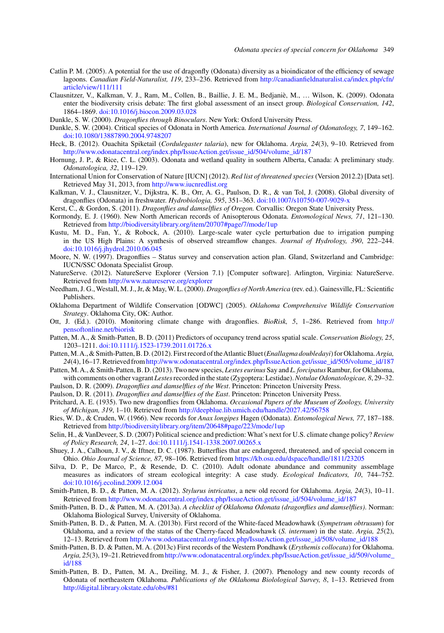- <span id="page-22-0"></span>Catlin P. M. (2005). A potential for the use of dragonfly (Odonata) diversity as a bioindicator of the efficiency of sewage lagoons. *Canadian Field-Naturalist, 119*, 233–236. Retrieved from [http://canadianfieldnaturalist.ca/index.php/cfn/](http://canadianfieldnaturalist.ca/index.php/cfn/article/view/111/111) [article/view/111/111](http://canadianfieldnaturalist.ca/index.php/cfn/article/view/111/111)
- Clausnitzer, V., Kalkman, V. J., Ram, M., Collen, B., Baillie, J. E. M., Bedjaniè, M., … Wilson, K. (2009). Odonata enter the biodiversity crisis debate: The first global assessment of an insect group. *Biological Conservation, 142*, 1864–1869. [doi:10.1016/j.biocon.2009.03.028](http://dx.doi.org/10.1016/j.biocon.2009.03.028)
- Dunkle, S. W. (2000). *Dragonflies through Binoculars*. New York: Oxford University Press.
- Dunkle, S. W. (2004). Critical species of Odonata in North America. *International Journal of Odonatology, 7*, 149–162. [doi:10.1080/13887890.2004.9748207](http://dx.doi.org/10.1080/13887890.2004.9748207)
- Heck, B. (2012). Ouachita Spiketail (*Cordulegaster talaria*), new for Oklahoma. *Argia, 24*(3), 9–10. Retrieved from [http://www.odonatacentral.org/index.php/IssueAction.get/issue\\_id/504/volume\\_id/187](http://www.odonatacentral.org/index.php/IssueAction.get/issue_id/504/volume_id/187)
- Hornung, J. P., & Rice, C. L. (2003). Odonata and wetland quality in southern Alberta, Canada: A preliminary study. *Odonatologica, 32*, 119–129.
- International Union for Conservation of Nature [IUCN] (2012). *Red list of threatened species* (Version 2012.2) [Data set]. Retrieved May 31, 2013, from <http://www.iucnredlist.org>
- Kalkman, V. J., Clausnitzer, V., Dijkstra, K. B., Orr, A. G., Paulson, D. R., & van Tol, J. (2008). Global diversity of dragonflies (Odonata) in freshwater. *Hydrobiologia, 595*, 351–363. [doi:10.1007/s10750-007-9029-x](http://dx.doi.org/10.1007/s10750-007-9029-x)
- Kerst, C., & Gordon, S. (2011). *Dragonflies and damselflies of Oregon.* Corvallis: Oregon State University Press.
- Kormondy, E. J. (1960). New North American records of Anisopterous Odonata. *Entomological News, 71*, 121–130. Retrieved from <http://biodiversitylibrary.org/item/20707#page/7/mode/1up>
- Kustu, M. D., Fan, Y., & Robock, A. (2010). Large-scale water cycle perturbation due to irrigation pumping in the US High Plains: A synthesis of observed streamflow changes. *Journal of Hydrology, 390*, 222–244. [doi:10.1016/j.jhydrol.2010.06.045](http://dx.doi.org/10.1016/j.jhydrol.2010.06.045)
- Moore, N. W. (1997). Dragonflies Status survey and conservation action plan. Gland, Switzerland and Cambridge: IUCN/SSC Odonata Specialist Group.
- NatureServe. (2012). NatureServe Explorer (Version 7.1) [Computer software]. Arlington, Virginia: NatureServe. Retrieved from <http://www.natureserve.org/explorer>
- Needham, J. G., Westall, M. J., Jr, & May, W. L. (2000). *Dragonflies of North America* (rev. ed.). Gainesville, FL: Scientific Publishers.
- Oklahoma Department of Wildlife Conservation [ODWC] (2005). *Oklahoma Comprehensive Wildlife Conservation Strategy*. Oklahoma City, OK: Author.
- Ott, J. (Ed.). (2010). Monitoring climate change with dragonflies. *BioRisk, 5*, 1–286. Retrieved from [http://](http://pensoftonline.net/biorisk) [pensoftonline.net/biorisk](http://pensoftonline.net/biorisk)
- Patten, M. A., & Smith-Patten, B. D. (2011) Predictors of occupancy trend across spatial scale. *Conservation Biology, 25*, 1203–1211. [doi:10.1111/j.1523-1739.2011.01726.x](http://dx.doi.org/10.1111/j.1523-1739.2011.01726.x)
- Patten, M.A., & Smith-Patten, B. D. (2012). First record of theAtlantic Bluet (*Enallagma doubledayi*) for Oklahoma.*Argia, 24*(4), 16–17. Retrieved fro[mhttp://www.odonatacentral.org/index.php/IssueAction.get/issue\\_id/505/volume\\_id/187](http://www.odonatacentral.org/index.php/IssueAction.get/issue_id/505/volume_id/187)
- Patten, M.A., & Smith-Patten, B. D. (2013). Two new species, *Lestes eurinus* Say and *L. forcipatus* Rambur, for Oklahoma, with comments on other vagrant *Lestes*recorded in the state (Zygoptera: Lestidae).*Notulae Odonatologicae, 8*, 29–32.
- Paulson, D. R. (2009). *Dragonflies and damselflies of the West*. Princeton: Princeton University Press.
- Paulson, D. R. (2011). *Dragonflies and damselflies of the East*. Princeton: Princeton University Press.
- Pritchard, A. E. (1935). Two new dragonflies from Oklahoma. *Occasional Papers of the Museum of Zoology, University of Michigan, 319*, 1–10. Retrieved from <http://deepblue.lib.umich.edu/handle/2027.42/56758>
- Ries, W. D., & Cruden, W. (1966). New records for *Anax longipes* Hagen (Odonata). *Entomological News, 77*, 187–188. Retrieved from <http://biodiversitylibrary.org/item/20648#page/223/mode/1up>
- Selin, H., & VanDeveer, S. D. (2007) Political science and prediction: What's next for U.S. climate change policy? *Review of Policy Research, 24*, 1–27. [doi:10.1111/j.1541-1338.2007.00265.x](http://dx.doi.org/10.1111/j.1541-1338.2007.00265.x)
- Shuey, J. A., Calhoun, J. V., & Iftner, D. C. (1987). Butterflies that are endangered, threatened, and of special concern in Ohio. *Ohio Journal of Science, 87*, 98–106. Retrieved from <https://kb.osu.edu/dspace/handle/1811/23205>
- Silva, D. P., De Marco, P., & Resende, D. C. (2010). Adult odonate abundance and community assemblage measures as indicators of stream ecological integrity: A case study. *Ecological Indicators, 10*, 744–752. [doi:10.1016/j.ecolind.2009.12.004](http://dx.doi.org/10.1016/j.ecolind.2009.12.004)
- Smith-Patten, B. D., & Patten, M. A. (2012). *Stylurus intricatus*, a new old record for Oklahoma. *Argia, 24*(3), 10–11. Retrieved from [http://www.odonatacentral.org/index.php/IssueAction.get/issue\\_id/504/volume\\_id/187](http://www.odonatacentral.org/index.php/IssueAction.get/issue_id/504/volume_id/187)
- Smith-Patten, B. D., & Patten, M. A. (2013a). *A checklist of Oklahoma Odonata (dragonflies and damselflies)*. Norman: Oklahoma Biological Survey, University of Oklahoma.
- Smith-Patten, B. D., & Patten, M. A. (2013b). First record of the White-faced Meadowhawk (*Sympetrum obtrusum*) for Oklahoma, and a review of the status of the Cherry-faced Meadowhawk (*S. internum*) in the state. *Argia, 25*(2), 12–13. Retrieved from [http://www.odonatacentral.org/index.php/IssueAction.get/issue\\_id/508/volume\\_id/188](http://www.odonatacentral.org/index.php/IssueAction.get/issue_id/508/volume_id/188)
- Smith-Patten, B. D. & Patten, M. A. (2013c) First records of the Western Pondhawk (*Erythemis collocata*) for Oklahoma. *Argia, 25*(3), 19–21. Retrieved fro[mhttp://www.odonatacentral.org/index.php/IssueAction.get/issue\\_id/509/volume\\_](http://www.odonatacentral.org/index.php/IssueAction.get/issue_id/509/volume_id/188) [id/188](http://www.odonatacentral.org/index.php/IssueAction.get/issue_id/509/volume_id/188)
- Smith-Patten, B. D., Patten, M. A., Dreiling, M. J., & Fisher, J. (2007). Phenology and new county records of Odonata of northeastern Oklahoma. *Publications of the Oklahoma Biolological Survey, 8*, 1–13. Retrieved from <http://digital.library.okstate.edu/obs/#81>